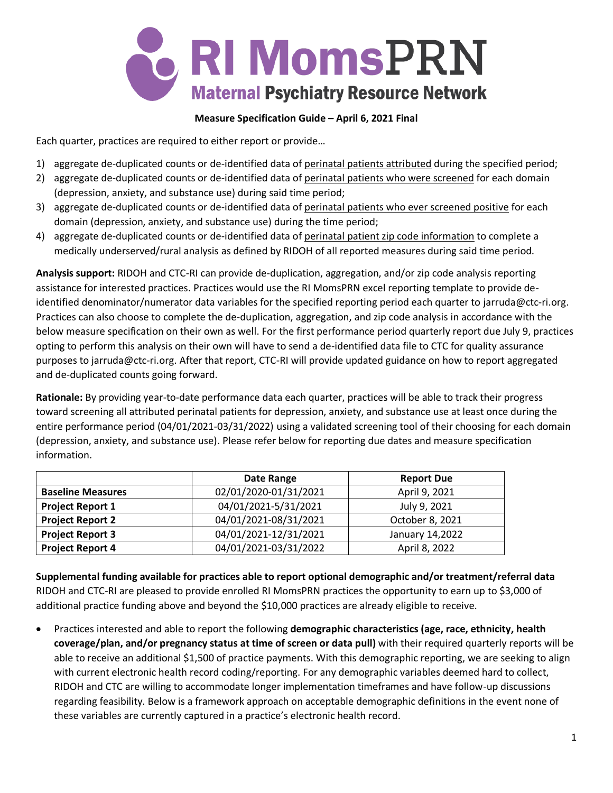

## **Measure Specification Guide – April 6, 2021 Final**

Each quarter, practices are required to either report or provide…

- 1) aggregate de-duplicated counts or de-identified data of perinatal patients attributed during the specified period;
- 2) aggregate de-duplicated counts or de-identified data of perinatal patients who were screened for each domain (depression, anxiety, and substance use) during said time period;
- 3) aggregate de-duplicated counts or de-identified data of perinatal patients who ever screened positive for each domain (depression, anxiety, and substance use) during the time period;
- 4) aggregate de-duplicated counts or de-identified data of perinatal patient zip code information to complete a medically underserved/rural analysis as defined by RIDOH of all reported measures during said time period.

**Analysis support:** RIDOH and CTC-RI can provide de-duplication, aggregation, and/or zip code analysis reporting assistance for interested practices. Practices would use the RI MomsPRN excel reporting template to provide deidentified denominator/numerator data variables for the specified reporting period each quarter to jarruda@ctc-ri.org. Practices can also choose to complete the de-duplication, aggregation, and zip code analysis in accordance with the below measure specification on their own as well. For the first performance period quarterly report due July 9, practices opting to perform this analysis on their own will have to send a de-identified data file to CTC for quality assurance purposes to jarruda@ctc-ri.org. After that report, CTC-RI will provide updated guidance on how to report aggregated and de-duplicated counts going forward.

**Rationale:** By providing year-to-date performance data each quarter, practices will be able to track their progress toward screening all attributed perinatal patients for depression, anxiety, and substance use at least once during the entire performance period (04/01/2021-03/31/2022) using a validated screening tool of their choosing for each domain (depression, anxiety, and substance use). Please refer below for reporting due dates and measure specification information.

|                          | Date Range            | <b>Report Due</b> |
|--------------------------|-----------------------|-------------------|
| <b>Baseline Measures</b> | 02/01/2020-01/31/2021 | April 9, 2021     |
| <b>Project Report 1</b>  | 04/01/2021-5/31/2021  | July 9, 2021      |
| <b>Project Report 2</b>  | 04/01/2021-08/31/2021 | October 8, 2021   |
| <b>Project Report 3</b>  | 04/01/2021-12/31/2021 | January 14,2022   |
| <b>Project Report 4</b>  | 04/01/2021-03/31/2022 | April 8, 2022     |

**Supplemental funding available for practices able to report optional demographic and/or treatment/referral data** RIDOH and CTC-RI are pleased to provide enrolled RI MomsPRN practices the opportunity to earn up to \$3,000 of additional practice funding above and beyond the \$10,000 practices are already eligible to receive.

• Practices interested and able to report the following **demographic characteristics (age, race, ethnicity, health coverage/plan, and/or pregnancy status at time of screen or data pull)** with their required quarterly reports will be able to receive an additional \$1,500 of practice payments. With this demographic reporting, we are seeking to align with current electronic health record coding/reporting. For any demographic variables deemed hard to collect, RIDOH and CTC are willing to accommodate longer implementation timeframes and have follow-up discussions regarding feasibility. Below is a framework approach on acceptable demographic definitions in the event none of these variables are currently captured in a practice's electronic health record.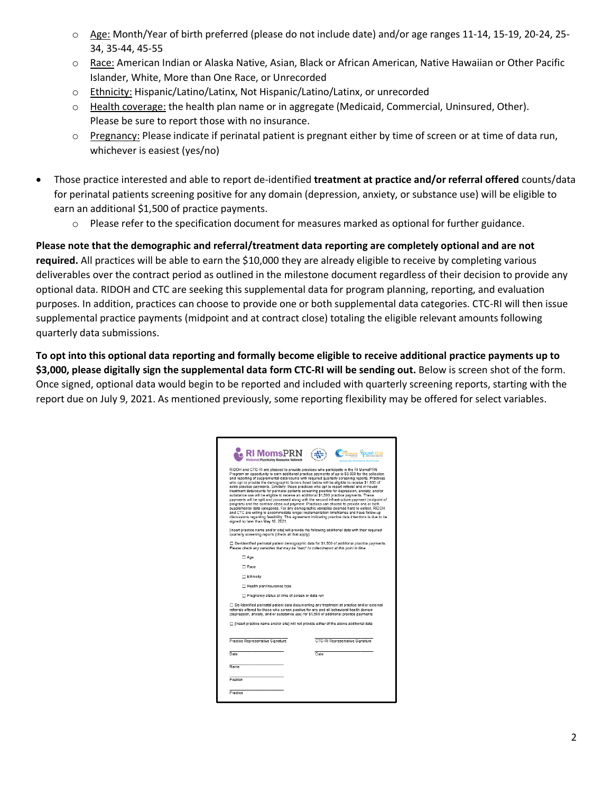- o Age: Month/Year of birth preferred (please do not include date) and/or age ranges 11-14, 15-19, 20-24, 25- 34, 35-44, 45-55
- o Race: American Indian or Alaska Native, Asian, Black or African American, Native Hawaiian or Other Pacific Islander, White, More than One Race, or Unrecorded
- o Ethnicity: Hispanic/Latino/Latinx, Not Hispanic/Latino/Latinx, or unrecorded
- o Health coverage: the health plan name or in aggregate (Medicaid, Commercial, Uninsured, Other). Please be sure to report those with no insurance.
- o Pregnancy: Please indicate if perinatal patient is pregnant either by time of screen or at time of data run, whichever is easiest (yes/no)
- Those practice interested and able to report de-identified **treatment at practice and/or referral offered** counts/data for perinatal patients screening positive for any domain (depression, anxiety, or substance use) will be eligible to earn an additional \$1,500 of practice payments.
	- o Please refer to the specification document for measures marked as optional for further guidance.

**Please note that the demographic and referral/treatment data reporting are completely optional and are not required.** All practices will be able to earn the \$10,000 they are already eligible to receive by completing various deliverables over the contract period as outlined in the milestone document regardless of their decision to provide any optional data. RIDOH and CTC are seeking this supplemental data for program planning, reporting, and evaluation purposes. In addition, practices can choose to provide one or both supplemental data categories. CTC-RI will then issue supplemental practice payments (midpoint and at contract close) totaling the eligible relevant amounts following quarterly data submissions.

**To opt into this optional data reporting and formally become eligible to receive additional practice payments up to \$3,000, please digitally sign the supplemental data form CTC-RI will be sending out.** Below is screen shot of the form. Once signed, optional data would begin to be reported and included with quarterly screening reports, starting with the report due on July 9, 2021. As mentioned previously, some reporting flexibility may be offered for select variables.

| MomsPRI<br>Maternal Psychiatry Resource Network                                        |                                                                                                                                                                                                                                                                                                                                                                                                                                                                                                                                                                                                                                                                                                                                                                                                                                                                                                                                                                                                                                                                                                                                                                                     |
|----------------------------------------------------------------------------------------|-------------------------------------------------------------------------------------------------------------------------------------------------------------------------------------------------------------------------------------------------------------------------------------------------------------------------------------------------------------------------------------------------------------------------------------------------------------------------------------------------------------------------------------------------------------------------------------------------------------------------------------------------------------------------------------------------------------------------------------------------------------------------------------------------------------------------------------------------------------------------------------------------------------------------------------------------------------------------------------------------------------------------------------------------------------------------------------------------------------------------------------------------------------------------------------|
| signed no later than May 10, 2021.                                                     | RIDOH and CTC-RI are pleased to provide practices who participate in the RI MomsPRN<br>Program an opportunity to earn additional practice payments of up to \$3,000 for the collection<br>and reporting of supplemental data/counts with required quarterly screening reports. Practices<br>who opt to provide the demographic factors listed below will be eligible to receive \$1,500 of<br>extra practice payments. Similarly, those practices who opt to report referral and in-house<br>treatment data/counts for perinatal patients screening positive for depression, anxiety, and/or<br>substance use will be eligible to receive an additional \$1,500 practice payments. These<br>payments will be split and processed along with the second infrastructure payment (midpoint of<br>program) and the contract close-out payment. Practices can choose to provide one or both<br>supplemental data categories. For any demographic variables deemed hard to collect, RIDOH<br>and CTC are willing to accommodate longer implementation timeframes and have follow-up<br>discussions regarding feasibility. This agreement indicating practice data intentions is due to be |
| quarterly screening reports (check all that apply):                                    | [Insert practice name and/or site] will provide the following additional data with their required                                                                                                                                                                                                                                                                                                                                                                                                                                                                                                                                                                                                                                                                                                                                                                                                                                                                                                                                                                                                                                                                                   |
| Please check any variables that may be "hard" to collect/report at this point in time. | □ De-Identified perinatal patient demographic data for \$1,500 of additional practice payments.                                                                                                                                                                                                                                                                                                                                                                                                                                                                                                                                                                                                                                                                                                                                                                                                                                                                                                                                                                                                                                                                                     |
| □ Age                                                                                  |                                                                                                                                                                                                                                                                                                                                                                                                                                                                                                                                                                                                                                                                                                                                                                                                                                                                                                                                                                                                                                                                                                                                                                                     |
| □ Race                                                                                 |                                                                                                                                                                                                                                                                                                                                                                                                                                                                                                                                                                                                                                                                                                                                                                                                                                                                                                                                                                                                                                                                                                                                                                                     |
| Ethnicity                                                                              |                                                                                                                                                                                                                                                                                                                                                                                                                                                                                                                                                                                                                                                                                                                                                                                                                                                                                                                                                                                                                                                                                                                                                                                     |
| Health plan/insurance type                                                             |                                                                                                                                                                                                                                                                                                                                                                                                                                                                                                                                                                                                                                                                                                                                                                                                                                                                                                                                                                                                                                                                                                                                                                                     |
| Pregnancy status at time of screen or data run                                         |                                                                                                                                                                                                                                                                                                                                                                                                                                                                                                                                                                                                                                                                                                                                                                                                                                                                                                                                                                                                                                                                                                                                                                                     |
|                                                                                        | □ De-Identified perinatal patient data documenting any treatment at practice and/or external<br>referrals offered for those who screen positive for any and all behavioral health domain<br>(depression, anxiety, and/or substance use) for \$1,500 of additional practice payments                                                                                                                                                                                                                                                                                                                                                                                                                                                                                                                                                                                                                                                                                                                                                                                                                                                                                                 |
|                                                                                        | □ [Insert practice name and/or site] will not provide either of the above additional data                                                                                                                                                                                                                                                                                                                                                                                                                                                                                                                                                                                                                                                                                                                                                                                                                                                                                                                                                                                                                                                                                           |
| Practice Representative Signature                                                      | CTC-RI Representative Signature                                                                                                                                                                                                                                                                                                                                                                                                                                                                                                                                                                                                                                                                                                                                                                                                                                                                                                                                                                                                                                                                                                                                                     |
| Date                                                                                   | Date                                                                                                                                                                                                                                                                                                                                                                                                                                                                                                                                                                                                                                                                                                                                                                                                                                                                                                                                                                                                                                                                                                                                                                                |
| Name                                                                                   |                                                                                                                                                                                                                                                                                                                                                                                                                                                                                                                                                                                                                                                                                                                                                                                                                                                                                                                                                                                                                                                                                                                                                                                     |
| Position                                                                               |                                                                                                                                                                                                                                                                                                                                                                                                                                                                                                                                                                                                                                                                                                                                                                                                                                                                                                                                                                                                                                                                                                                                                                                     |
|                                                                                        |                                                                                                                                                                                                                                                                                                                                                                                                                                                                                                                                                                                                                                                                                                                                                                                                                                                                                                                                                                                                                                                                                                                                                                                     |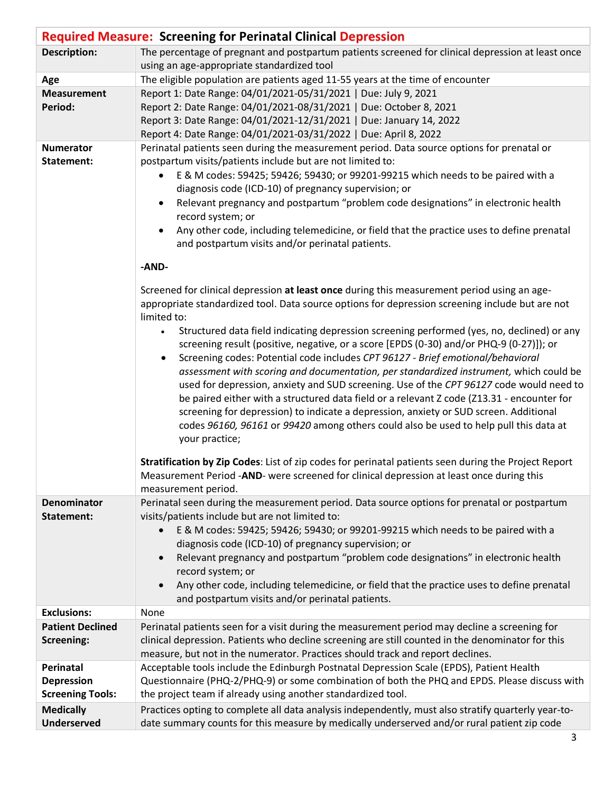|                                        | <b>Required Measure: Screening for Perinatal Clinical Depression</b>                                                                                                                                                                                                                                                                                                                                                                                                                                                                                                                                                                                                                                                                          |
|----------------------------------------|-----------------------------------------------------------------------------------------------------------------------------------------------------------------------------------------------------------------------------------------------------------------------------------------------------------------------------------------------------------------------------------------------------------------------------------------------------------------------------------------------------------------------------------------------------------------------------------------------------------------------------------------------------------------------------------------------------------------------------------------------|
| <b>Description:</b>                    | The percentage of pregnant and postpartum patients screened for clinical depression at least once                                                                                                                                                                                                                                                                                                                                                                                                                                                                                                                                                                                                                                             |
|                                        | using an age-appropriate standardized tool                                                                                                                                                                                                                                                                                                                                                                                                                                                                                                                                                                                                                                                                                                    |
| Age                                    | The eligible population are patients aged 11-55 years at the time of encounter                                                                                                                                                                                                                                                                                                                                                                                                                                                                                                                                                                                                                                                                |
| <b>Measurement</b>                     | Report 1: Date Range: 04/01/2021-05/31/2021   Due: July 9, 2021                                                                                                                                                                                                                                                                                                                                                                                                                                                                                                                                                                                                                                                                               |
| Period:                                | Report 2: Date Range: 04/01/2021-08/31/2021   Due: October 8, 2021                                                                                                                                                                                                                                                                                                                                                                                                                                                                                                                                                                                                                                                                            |
|                                        | Report 3: Date Range: 04/01/2021-12/31/2021   Due: January 14, 2022                                                                                                                                                                                                                                                                                                                                                                                                                                                                                                                                                                                                                                                                           |
| <b>Numerator</b>                       | Report 4: Date Range: 04/01/2021-03/31/2022   Due: April 8, 2022<br>Perinatal patients seen during the measurement period. Data source options for prenatal or                                                                                                                                                                                                                                                                                                                                                                                                                                                                                                                                                                                |
| Statement:                             | postpartum visits/patients include but are not limited to:<br>E & M codes: 59425; 59426; 59430; or 99201-99215 which needs to be paired with a<br>diagnosis code (ICD-10) of pregnancy supervision; or<br>Relevant pregnancy and postpartum "problem code designations" in electronic health<br>$\bullet$<br>record system; or<br>Any other code, including telemedicine, or field that the practice uses to define prenatal                                                                                                                                                                                                                                                                                                                  |
|                                        | and postpartum visits and/or perinatal patients.                                                                                                                                                                                                                                                                                                                                                                                                                                                                                                                                                                                                                                                                                              |
|                                        |                                                                                                                                                                                                                                                                                                                                                                                                                                                                                                                                                                                                                                                                                                                                               |
|                                        | -AND-                                                                                                                                                                                                                                                                                                                                                                                                                                                                                                                                                                                                                                                                                                                                         |
|                                        | Screened for clinical depression at least once during this measurement period using an age-<br>appropriate standardized tool. Data source options for depression screening include but are not<br>limited to:                                                                                                                                                                                                                                                                                                                                                                                                                                                                                                                                 |
|                                        | Structured data field indicating depression screening performed (yes, no, declined) or any<br>screening result (positive, negative, or a score [EPDS (0-30) and/or PHQ-9 (0-27)]); or<br>Screening codes: Potential code includes CPT 96127 - Brief emotional/behavioral<br>assessment with scoring and documentation, per standardized instrument, which could be<br>used for depression, anxiety and SUD screening. Use of the CPT 96127 code would need to<br>be paired either with a structured data field or a relevant Z code (Z13.31 - encounter for<br>screening for depression) to indicate a depression, anxiety or SUD screen. Additional<br>codes 96160, 96161 or 99420 among others could also be used to help pull this data at |
|                                        | your practice;<br>Stratification by Zip Codes: List of zip codes for perinatal patients seen during the Project Report<br>Measurement Period -AND- were screened for clinical depression at least once during this<br>measurement period.                                                                                                                                                                                                                                                                                                                                                                                                                                                                                                     |
| <b>Denominator</b>                     | Perinatal seen during the measurement period. Data source options for prenatal or postpartum                                                                                                                                                                                                                                                                                                                                                                                                                                                                                                                                                                                                                                                  |
| Statement:                             | visits/patients include but are not limited to:<br>E & M codes: 59425; 59426; 59430; or 99201-99215 which needs to be paired with a<br>diagnosis code (ICD-10) of pregnancy supervision; or<br>Relevant pregnancy and postpartum "problem code designations" in electronic health<br>record system; or<br>Any other code, including telemedicine, or field that the practice uses to define prenatal<br>and postpartum visits and/or perinatal patients.                                                                                                                                                                                                                                                                                      |
| <b>Exclusions:</b>                     | None                                                                                                                                                                                                                                                                                                                                                                                                                                                                                                                                                                                                                                                                                                                                          |
| <b>Patient Declined</b>                | Perinatal patients seen for a visit during the measurement period may decline a screening for                                                                                                                                                                                                                                                                                                                                                                                                                                                                                                                                                                                                                                                 |
| Screening:                             | clinical depression. Patients who decline screening are still counted in the denominator for this                                                                                                                                                                                                                                                                                                                                                                                                                                                                                                                                                                                                                                             |
|                                        | measure, but not in the numerator. Practices should track and report declines.                                                                                                                                                                                                                                                                                                                                                                                                                                                                                                                                                                                                                                                                |
| Perinatal                              | Acceptable tools include the Edinburgh Postnatal Depression Scale (EPDS), Patient Health                                                                                                                                                                                                                                                                                                                                                                                                                                                                                                                                                                                                                                                      |
| <b>Depression</b>                      | Questionnaire (PHQ-2/PHQ-9) or some combination of both the PHQ and EPDS. Please discuss with                                                                                                                                                                                                                                                                                                                                                                                                                                                                                                                                                                                                                                                 |
| <b>Screening Tools:</b>                | the project team if already using another standardized tool.                                                                                                                                                                                                                                                                                                                                                                                                                                                                                                                                                                                                                                                                                  |
| <b>Medically</b><br><b>Underserved</b> | Practices opting to complete all data analysis independently, must also stratify quarterly year-to-<br>date summary counts for this measure by medically underserved and/or rural patient zip code                                                                                                                                                                                                                                                                                                                                                                                                                                                                                                                                            |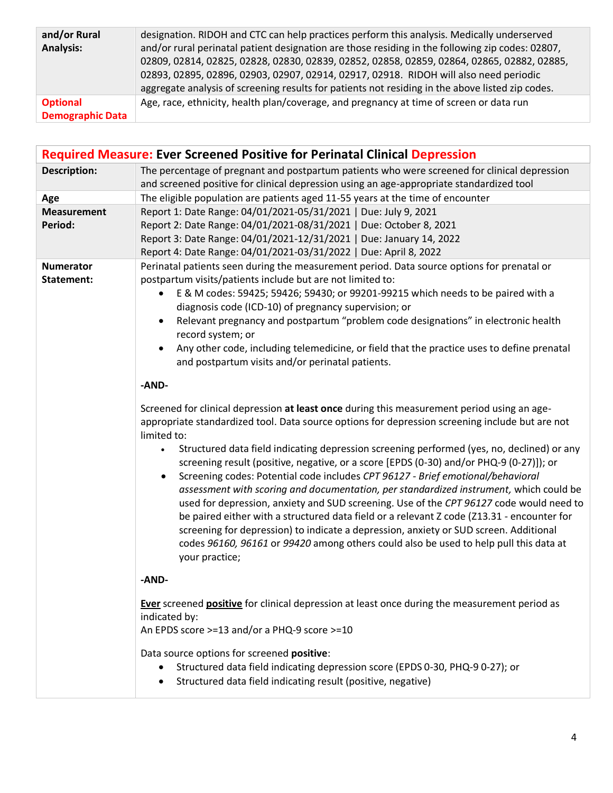| and/or Rural            | designation. RIDOH and CTC can help practices perform this analysis. Medically underserved       |
|-------------------------|--------------------------------------------------------------------------------------------------|
| <b>Analysis:</b>        | and/or rural perinatal patient designation are those residing in the following zip codes: 02807, |
|                         | 02809, 02814, 02825, 02828, 02830, 02839, 02852, 02858, 02859, 02864, 02865, 02882, 02885,       |
|                         | 02893, 02895, 02896, 02903, 02907, 02914, 02917, 02918. RIDOH will also need periodic            |
|                         | aggregate analysis of screening results for patients not residing in the above listed zip codes. |
| <b>Optional</b>         | Age, race, ethnicity, health plan/coverage, and pregnancy at time of screen or data run          |
| <b>Demographic Data</b> |                                                                                                  |

|                                | <b>Required Measure: Ever Screened Positive for Perinatal Clinical Depression</b>                                                                                                                                                                                                                                                                                                                                                                                                                                                                                                                                                                                                                                                                                                                                                                                                                                                                                                             |
|--------------------------------|-----------------------------------------------------------------------------------------------------------------------------------------------------------------------------------------------------------------------------------------------------------------------------------------------------------------------------------------------------------------------------------------------------------------------------------------------------------------------------------------------------------------------------------------------------------------------------------------------------------------------------------------------------------------------------------------------------------------------------------------------------------------------------------------------------------------------------------------------------------------------------------------------------------------------------------------------------------------------------------------------|
| <b>Description:</b>            | The percentage of pregnant and postpartum patients who were screened for clinical depression<br>and screened positive for clinical depression using an age-appropriate standardized tool                                                                                                                                                                                                                                                                                                                                                                                                                                                                                                                                                                                                                                                                                                                                                                                                      |
| Age                            | The eligible population are patients aged 11-55 years at the time of encounter                                                                                                                                                                                                                                                                                                                                                                                                                                                                                                                                                                                                                                                                                                                                                                                                                                                                                                                |
| <b>Measurement</b><br>Period:  | Report 1: Date Range: 04/01/2021-05/31/2021   Due: July 9, 2021<br>Report 2: Date Range: 04/01/2021-08/31/2021   Due: October 8, 2021<br>Report 3: Date Range: 04/01/2021-12/31/2021   Due: January 14, 2022<br>Report 4: Date Range: 04/01/2021-03/31/2022   Due: April 8, 2022                                                                                                                                                                                                                                                                                                                                                                                                                                                                                                                                                                                                                                                                                                              |
| <b>Numerator</b><br>Statement: | Perinatal patients seen during the measurement period. Data source options for prenatal or<br>postpartum visits/patients include but are not limited to:<br>E & M codes: 59425; 59426; 59430; or 99201-99215 which needs to be paired with a<br>diagnosis code (ICD-10) of pregnancy supervision; or<br>Relevant pregnancy and postpartum "problem code designations" in electronic health<br>$\bullet$<br>record system; or<br>Any other code, including telemedicine, or field that the practice uses to define prenatal<br>$\bullet$<br>and postpartum visits and/or perinatal patients.<br>-AND-                                                                                                                                                                                                                                                                                                                                                                                          |
|                                | Screened for clinical depression at least once during this measurement period using an age-<br>appropriate standardized tool. Data source options for depression screening include but are not<br>limited to:<br>Structured data field indicating depression screening performed (yes, no, declined) or any<br>$\bullet$<br>screening result (positive, negative, or a score [EPDS (0-30) and/or PHQ-9 (0-27)]); or<br>Screening codes: Potential code includes CPT 96127 - Brief emotional/behavioral<br>assessment with scoring and documentation, per standardized instrument, which could be<br>used for depression, anxiety and SUD screening. Use of the CPT 96127 code would need to<br>be paired either with a structured data field or a relevant Z code (Z13.31 - encounter for<br>screening for depression) to indicate a depression, anxiety or SUD screen. Additional<br>codes 96160, 96161 or 99420 among others could also be used to help pull this data at<br>your practice; |
|                                | -AND-<br>Ever screened positive for clinical depression at least once during the measurement period as<br>indicated by:<br>An EPDS score >=13 and/or a PHQ-9 score >=10<br>Data source options for screened positive:<br>Structured data field indicating depression score (EPDS 0-30, PHQ-9 0-27); or<br>٠<br>Structured data field indicating result (positive, negative)<br>$\bullet$                                                                                                                                                                                                                                                                                                                                                                                                                                                                                                                                                                                                      |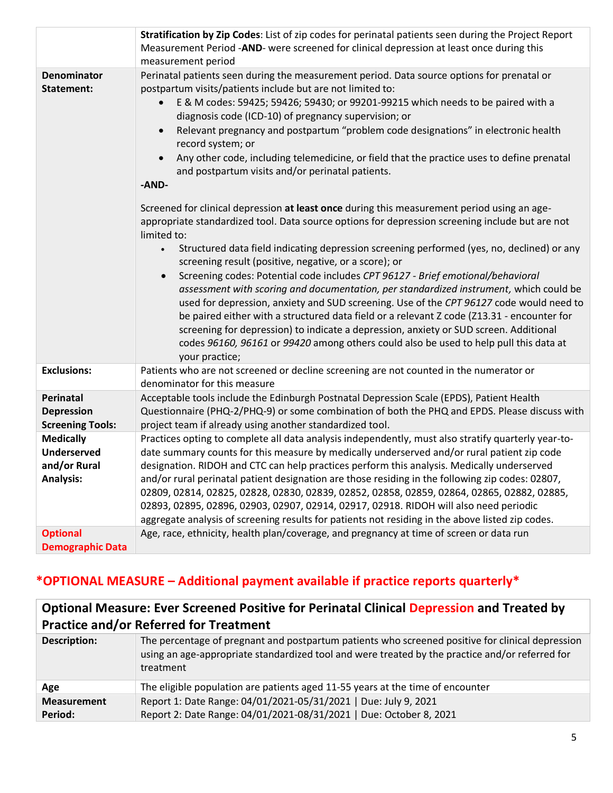|                                  | Stratification by Zip Codes: List of zip codes for perinatal patients seen during the Project Report<br>Measurement Period -AND- were screened for clinical depression at least once during this<br>measurement period                                                                                                                                                                                                                                                                                                                                                                                                                                                                                                                                                                                                                                                                                                                                      |
|----------------------------------|-------------------------------------------------------------------------------------------------------------------------------------------------------------------------------------------------------------------------------------------------------------------------------------------------------------------------------------------------------------------------------------------------------------------------------------------------------------------------------------------------------------------------------------------------------------------------------------------------------------------------------------------------------------------------------------------------------------------------------------------------------------------------------------------------------------------------------------------------------------------------------------------------------------------------------------------------------------|
| <b>Denominator</b><br>Statement: | Perinatal patients seen during the measurement period. Data source options for prenatal or<br>postpartum visits/patients include but are not limited to:<br>E & M codes: 59425; 59426; 59430; or 99201-99215 which needs to be paired with a<br>diagnosis code (ICD-10) of pregnancy supervision; or<br>Relevant pregnancy and postpartum "problem code designations" in electronic health<br>record system; or<br>Any other code, including telemedicine, or field that the practice uses to define prenatal<br>and postpartum visits and/or perinatal patients.<br>-AND-                                                                                                                                                                                                                                                                                                                                                                                  |
|                                  | Screened for clinical depression at least once during this measurement period using an age-<br>appropriate standardized tool. Data source options for depression screening include but are not<br>limited to:<br>Structured data field indicating depression screening performed (yes, no, declined) or any<br>screening result (positive, negative, or a score); or<br>Screening codes: Potential code includes CPT 96127 - Brief emotional/behavioral<br>$\bullet$<br>assessment with scoring and documentation, per standardized instrument, which could be<br>used for depression, anxiety and SUD screening. Use of the CPT 96127 code would need to<br>be paired either with a structured data field or a relevant Z code (Z13.31 - encounter for<br>screening for depression) to indicate a depression, anxiety or SUD screen. Additional<br>codes 96160, 96161 or 99420 among others could also be used to help pull this data at<br>your practice; |
| <b>Exclusions:</b>               | Patients who are not screened or decline screening are not counted in the numerator or<br>denominator for this measure                                                                                                                                                                                                                                                                                                                                                                                                                                                                                                                                                                                                                                                                                                                                                                                                                                      |
| Perinatal                        | Acceptable tools include the Edinburgh Postnatal Depression Scale (EPDS), Patient Health                                                                                                                                                                                                                                                                                                                                                                                                                                                                                                                                                                                                                                                                                                                                                                                                                                                                    |
| <b>Depression</b>                | Questionnaire (PHQ-2/PHQ-9) or some combination of both the PHQ and EPDS. Please discuss with                                                                                                                                                                                                                                                                                                                                                                                                                                                                                                                                                                                                                                                                                                                                                                                                                                                               |
| <b>Screening Tools:</b>          | project team if already using another standardized tool.                                                                                                                                                                                                                                                                                                                                                                                                                                                                                                                                                                                                                                                                                                                                                                                                                                                                                                    |
| <b>Medically</b>                 | Practices opting to complete all data analysis independently, must also stratify quarterly year-to-                                                                                                                                                                                                                                                                                                                                                                                                                                                                                                                                                                                                                                                                                                                                                                                                                                                         |
| <b>Underserved</b>               | date summary counts for this measure by medically underserved and/or rural patient zip code                                                                                                                                                                                                                                                                                                                                                                                                                                                                                                                                                                                                                                                                                                                                                                                                                                                                 |
| and/or Rural<br><b>Analysis:</b> | designation. RIDOH and CTC can help practices perform this analysis. Medically underserved<br>and/or rural perinatal patient designation are those residing in the following zip codes: 02807,                                                                                                                                                                                                                                                                                                                                                                                                                                                                                                                                                                                                                                                                                                                                                              |
|                                  | 02809, 02814, 02825, 02828, 02830, 02839, 02852, 02858, 02859, 02864, 02865, 02882, 02885,                                                                                                                                                                                                                                                                                                                                                                                                                                                                                                                                                                                                                                                                                                                                                                                                                                                                  |
|                                  | 02893, 02895, 02896, 02903, 02907, 02914, 02917, 02918. RIDOH will also need periodic                                                                                                                                                                                                                                                                                                                                                                                                                                                                                                                                                                                                                                                                                                                                                                                                                                                                       |
|                                  | aggregate analysis of screening results for patients not residing in the above listed zip codes.                                                                                                                                                                                                                                                                                                                                                                                                                                                                                                                                                                                                                                                                                                                                                                                                                                                            |
| <b>Optional</b>                  | Age, race, ethnicity, health plan/coverage, and pregnancy at time of screen or data run                                                                                                                                                                                                                                                                                                                                                                                                                                                                                                                                                                                                                                                                                                                                                                                                                                                                     |
| <b>Demographic Data</b>          |                                                                                                                                                                                                                                                                                                                                                                                                                                                                                                                                                                                                                                                                                                                                                                                                                                                                                                                                                             |
|                                  |                                                                                                                                                                                                                                                                                                                                                                                                                                                                                                                                                                                                                                                                                                                                                                                                                                                                                                                                                             |

# **\*OPTIONAL MEASURE – Additional payment available if practice reports quarterly\***

| <b>Optional Measure: Ever Screened Positive for Perinatal Clinical Depression and Treated by</b><br><b>Practice and/or Referred for Treatment</b> |                                                                                                                                                                                                                  |
|---------------------------------------------------------------------------------------------------------------------------------------------------|------------------------------------------------------------------------------------------------------------------------------------------------------------------------------------------------------------------|
| <b>Description:</b>                                                                                                                               | The percentage of pregnant and postpartum patients who screened positive for clinical depression<br>using an age-appropriate standardized tool and were treated by the practice and/or referred for<br>treatment |
| Age                                                                                                                                               | The eligible population are patients aged 11-55 years at the time of encounter                                                                                                                                   |
| <b>Measurement</b>                                                                                                                                | Report 1: Date Range: 04/01/2021-05/31/2021   Due: July 9, 2021                                                                                                                                                  |
| Period:                                                                                                                                           | Report 2: Date Range: 04/01/2021-08/31/2021   Due: October 8, 2021                                                                                                                                               |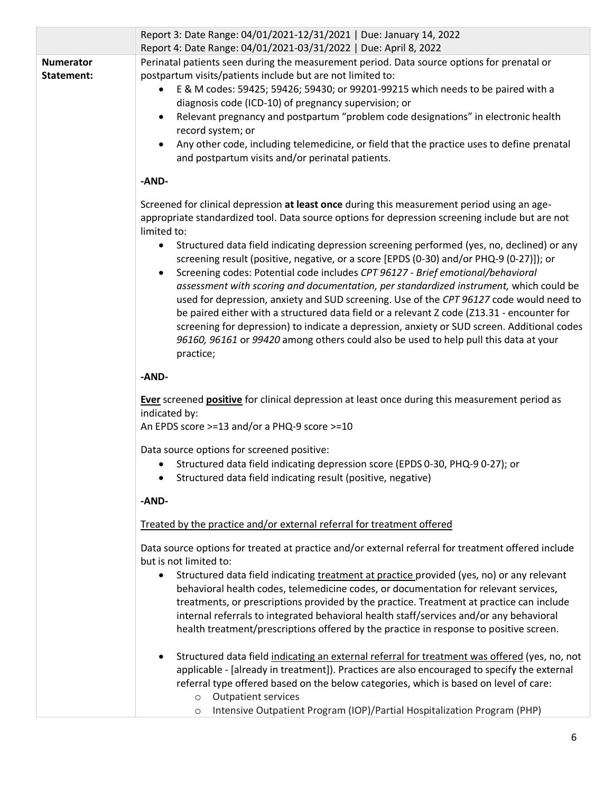|                                | Report 3: Date Range: 04/01/2021-12/31/2021   Due: January 14, 2022<br>Report 4: Date Range: 04/01/2021-03/31/2022   Due: April 8, 2022                                                                                                                                                                                                                                                                                                                                                                                                                                                                                                                                                                                                                         |
|--------------------------------|-----------------------------------------------------------------------------------------------------------------------------------------------------------------------------------------------------------------------------------------------------------------------------------------------------------------------------------------------------------------------------------------------------------------------------------------------------------------------------------------------------------------------------------------------------------------------------------------------------------------------------------------------------------------------------------------------------------------------------------------------------------------|
| <b>Numerator</b><br>Statement: | Perinatal patients seen during the measurement period. Data source options for prenatal or<br>postpartum visits/patients include but are not limited to:<br>E & M codes: 59425; 59426; 59430; or 99201-99215 which needs to be paired with a<br>$\bullet$<br>diagnosis code (ICD-10) of pregnancy supervision; or<br>Relevant pregnancy and postpartum "problem code designations" in electronic health<br>record system; or<br>Any other code, including telemedicine, or field that the practice uses to define prenatal<br>$\bullet$<br>and postpartum visits and/or perinatal patients.<br>-AND-                                                                                                                                                            |
|                                | Screened for clinical depression at least once during this measurement period using an age-<br>appropriate standardized tool. Data source options for depression screening include but are not<br>limited to:                                                                                                                                                                                                                                                                                                                                                                                                                                                                                                                                                   |
|                                | Structured data field indicating depression screening performed (yes, no, declined) or any<br>screening result (positive, negative, or a score [EPDS (0-30) and/or PHQ-9 (0-27)]); or<br>Screening codes: Potential code includes CPT 96127 - Brief emotional/behavioral<br>assessment with scoring and documentation, per standardized instrument, which could be<br>used for depression, anxiety and SUD screening. Use of the CPT 96127 code would need to<br>be paired either with a structured data field or a relevant Z code (Z13.31 - encounter for<br>screening for depression) to indicate a depression, anxiety or SUD screen. Additional codes<br>96160, 96161 or 99420 among others could also be used to help pull this data at your<br>practice; |
|                                | -AND-                                                                                                                                                                                                                                                                                                                                                                                                                                                                                                                                                                                                                                                                                                                                                           |
|                                | Ever screened positive for clinical depression at least once during this measurement period as<br>indicated by:<br>An EPDS score >=13 and/or a PHQ-9 score >=10                                                                                                                                                                                                                                                                                                                                                                                                                                                                                                                                                                                                 |
|                                | Data source options for screened positive:<br>Structured data field indicating depression score (EPDS 0-30, PHQ-9 0-27); or<br>$\bullet$<br>Structured data field indicating result (positive, negative)                                                                                                                                                                                                                                                                                                                                                                                                                                                                                                                                                        |
|                                | -AND-                                                                                                                                                                                                                                                                                                                                                                                                                                                                                                                                                                                                                                                                                                                                                           |
|                                | Treated by the practice and/or external referral for treatment offered<br>Data source options for treated at practice and/or external referral for treatment offered include<br>but is not limited to:<br>Structured data field indicating treatment at practice provided (yes, no) or any relevant<br>$\bullet$<br>behavioral health codes, telemedicine codes, or documentation for relevant services,                                                                                                                                                                                                                                                                                                                                                        |
|                                | treatments, or prescriptions provided by the practice. Treatment at practice can include<br>internal referrals to integrated behavioral health staff/services and/or any behavioral<br>health treatment/prescriptions offered by the practice in response to positive screen.                                                                                                                                                                                                                                                                                                                                                                                                                                                                                   |
|                                | Structured data field indicating an external referral for treatment was offered (yes, no, not<br>$\bullet$<br>applicable - [already in treatment]). Practices are also encouraged to specify the external<br>referral type offered based on the below categories, which is based on level of care:<br><b>Outpatient services</b><br>$\circ$                                                                                                                                                                                                                                                                                                                                                                                                                     |
|                                | Intensive Outpatient Program (IOP)/Partial Hospitalization Program (PHP)<br>$\circ$                                                                                                                                                                                                                                                                                                                                                                                                                                                                                                                                                                                                                                                                             |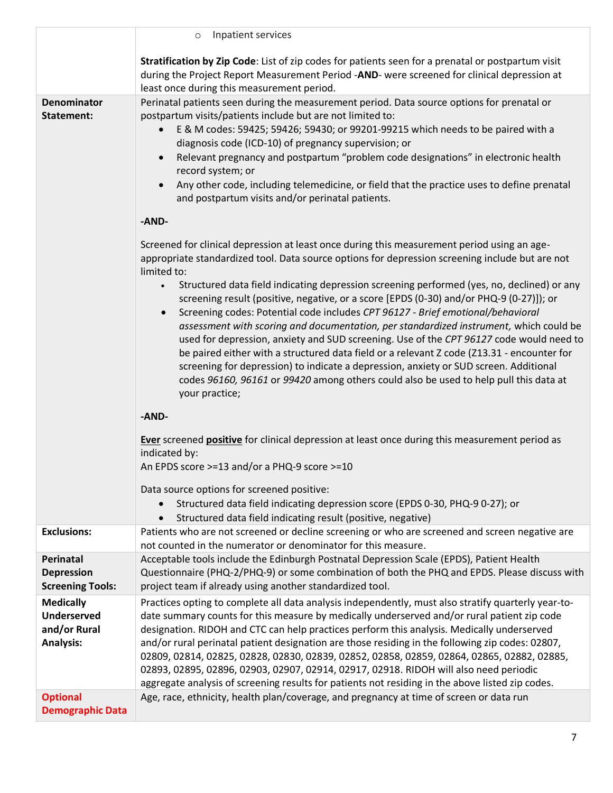|                                                                            | Inpatient services<br>$\circ$                                                                                                                                                                                                                                                                                                                                                                                                                                                                                                                                                                                                                                                                                                                                                                                                                                                                                                                                                                     |
|----------------------------------------------------------------------------|---------------------------------------------------------------------------------------------------------------------------------------------------------------------------------------------------------------------------------------------------------------------------------------------------------------------------------------------------------------------------------------------------------------------------------------------------------------------------------------------------------------------------------------------------------------------------------------------------------------------------------------------------------------------------------------------------------------------------------------------------------------------------------------------------------------------------------------------------------------------------------------------------------------------------------------------------------------------------------------------------|
|                                                                            | Stratification by Zip Code: List of zip codes for patients seen for a prenatal or postpartum visit<br>during the Project Report Measurement Period -AND- were screened for clinical depression at<br>least once during this measurement period.                                                                                                                                                                                                                                                                                                                                                                                                                                                                                                                                                                                                                                                                                                                                                   |
| <b>Denominator</b><br>Statement:                                           | Perinatal patients seen during the measurement period. Data source options for prenatal or<br>postpartum visits/patients include but are not limited to:<br>E & M codes: 59425; 59426; 59430; or 99201-99215 which needs to be paired with a<br>diagnosis code (ICD-10) of pregnancy supervision; or<br>Relevant pregnancy and postpartum "problem code designations" in electronic health<br>record system; or<br>Any other code, including telemedicine, or field that the practice uses to define prenatal<br>and postpartum visits and/or perinatal patients.<br>-AND-<br>Screened for clinical depression at least once during this measurement period using an age-<br>appropriate standardized tool. Data source options for depression screening include but are not<br>limited to:<br>Structured data field indicating depression screening performed (yes, no, declined) or any<br>$\bullet$<br>screening result (positive, negative, or a score [EPDS (0-30) and/or PHQ-9 (0-27)]); or |
|                                                                            | Screening codes: Potential code includes CPT 96127 - Brief emotional/behavioral<br>$\bullet$<br>assessment with scoring and documentation, per standardized instrument, which could be<br>used for depression, anxiety and SUD screening. Use of the CPT 96127 code would need to<br>be paired either with a structured data field or a relevant Z code (Z13.31 - encounter for<br>screening for depression) to indicate a depression, anxiety or SUD screen. Additional<br>codes 96160, 96161 or 99420 among others could also be used to help pull this data at<br>your practice;<br>-AND-<br>Ever screened positive for clinical depression at least once during this measurement period as                                                                                                                                                                                                                                                                                                    |
|                                                                            | indicated by:<br>An EPDS score >=13 and/or a PHQ-9 score >=10<br>Data source options for screened positive:<br>Structured data field indicating depression score (EPDS 0-30, PHQ-9 0-27); or<br>Structured data field indicating result (positive, negative)                                                                                                                                                                                                                                                                                                                                                                                                                                                                                                                                                                                                                                                                                                                                      |
| <b>Exclusions:</b>                                                         | Patients who are not screened or decline screening or who are screened and screen negative are<br>not counted in the numerator or denominator for this measure.                                                                                                                                                                                                                                                                                                                                                                                                                                                                                                                                                                                                                                                                                                                                                                                                                                   |
| Perinatal<br><b>Depression</b><br><b>Screening Tools:</b>                  | Acceptable tools include the Edinburgh Postnatal Depression Scale (EPDS), Patient Health<br>Questionnaire (PHQ-2/PHQ-9) or some combination of both the PHQ and EPDS. Please discuss with<br>project team if already using another standardized tool.                                                                                                                                                                                                                                                                                                                                                                                                                                                                                                                                                                                                                                                                                                                                             |
| <b>Medically</b><br><b>Underserved</b><br>and/or Rural<br><b>Analysis:</b> | Practices opting to complete all data analysis independently, must also stratify quarterly year-to-<br>date summary counts for this measure by medically underserved and/or rural patient zip code<br>designation. RIDOH and CTC can help practices perform this analysis. Medically underserved<br>and/or rural perinatal patient designation are those residing in the following zip codes: 02807,<br>02809, 02814, 02825, 02828, 02830, 02839, 02852, 02858, 02859, 02864, 02865, 02882, 02885,<br>02893, 02895, 02896, 02903, 02907, 02914, 02917, 02918. RIDOH will also need periodic<br>aggregate analysis of screening results for patients not residing in the above listed zip codes.                                                                                                                                                                                                                                                                                                   |
| <b>Optional</b><br><b>Demographic Data</b>                                 | Age, race, ethnicity, health plan/coverage, and pregnancy at time of screen or data run                                                                                                                                                                                                                                                                                                                                                                                                                                                                                                                                                                                                                                                                                                                                                                                                                                                                                                           |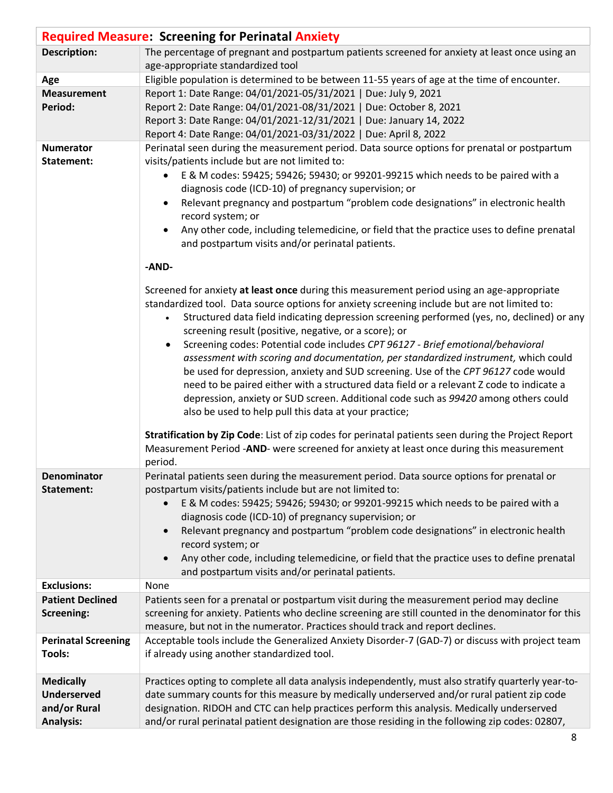|                                                                            | <b>Required Measure: Screening for Perinatal Anxiety</b>                                                                                                                                                                                                                                                                                                                                                                                                                                                                                                                                                                                                                                                                                                                                                                                                                                                                                                                                                                                                         |
|----------------------------------------------------------------------------|------------------------------------------------------------------------------------------------------------------------------------------------------------------------------------------------------------------------------------------------------------------------------------------------------------------------------------------------------------------------------------------------------------------------------------------------------------------------------------------------------------------------------------------------------------------------------------------------------------------------------------------------------------------------------------------------------------------------------------------------------------------------------------------------------------------------------------------------------------------------------------------------------------------------------------------------------------------------------------------------------------------------------------------------------------------|
| <b>Description:</b>                                                        | The percentage of pregnant and postpartum patients screened for anxiety at least once using an<br>age-appropriate standardized tool                                                                                                                                                                                                                                                                                                                                                                                                                                                                                                                                                                                                                                                                                                                                                                                                                                                                                                                              |
| Age                                                                        | Eligible population is determined to be between 11-55 years of age at the time of encounter.                                                                                                                                                                                                                                                                                                                                                                                                                                                                                                                                                                                                                                                                                                                                                                                                                                                                                                                                                                     |
| <b>Measurement</b><br>Period:                                              | Report 1: Date Range: 04/01/2021-05/31/2021   Due: July 9, 2021<br>Report 2: Date Range: 04/01/2021-08/31/2021   Due: October 8, 2021<br>Report 3: Date Range: 04/01/2021-12/31/2021   Due: January 14, 2022<br>Report 4: Date Range: 04/01/2021-03/31/2022   Due: April 8, 2022                                                                                                                                                                                                                                                                                                                                                                                                                                                                                                                                                                                                                                                                                                                                                                                 |
| <b>Numerator</b><br>Statement:                                             | Perinatal seen during the measurement period. Data source options for prenatal or postpartum<br>visits/patients include but are not limited to:<br>E & M codes: 59425; 59426; 59430; or 99201-99215 which needs to be paired with a<br>diagnosis code (ICD-10) of pregnancy supervision; or<br>Relevant pregnancy and postpartum "problem code designations" in electronic health<br>$\bullet$<br>record system; or<br>Any other code, including telemedicine, or field that the practice uses to define prenatal<br>$\bullet$<br>and postpartum visits and/or perinatal patients.<br>-AND-                                                                                                                                                                                                                                                                                                                                                                                                                                                                      |
|                                                                            | Screened for anxiety at least once during this measurement period using an age-appropriate<br>standardized tool. Data source options for anxiety screening include but are not limited to:<br>Structured data field indicating depression screening performed (yes, no, declined) or any<br>screening result (positive, negative, or a score); or<br>Screening codes: Potential code includes CPT 96127 - Brief emotional/behavioral<br>assessment with scoring and documentation, per standardized instrument, which could<br>be used for depression, anxiety and SUD screening. Use of the CPT 96127 code would<br>need to be paired either with a structured data field or a relevant Z code to indicate a<br>depression, anxiety or SUD screen. Additional code such as 99420 among others could<br>also be used to help pull this data at your practice;<br>Stratification by Zip Code: List of zip codes for perinatal patients seen during the Project Report<br>Measurement Period -AND- were screened for anxiety at least once during this measurement |
| Denominator<br>Statement:                                                  | period.<br>Perinatal patients seen during the measurement period. Data source options for prenatal or<br>postpartum visits/patients include but are not limited to:<br>E & M codes: 59425; 59426; 59430; or 99201-99215 which needs to be paired with a<br>$\bullet$<br>diagnosis code (ICD-10) of pregnancy supervision; or<br>Relevant pregnancy and postpartum "problem code designations" in electronic health<br>$\bullet$<br>record system; or<br>Any other code, including telemedicine, or field that the practice uses to define prenatal<br>$\bullet$<br>and postpartum visits and/or perinatal patients.                                                                                                                                                                                                                                                                                                                                                                                                                                              |
| <b>Exclusions:</b>                                                         | None                                                                                                                                                                                                                                                                                                                                                                                                                                                                                                                                                                                                                                                                                                                                                                                                                                                                                                                                                                                                                                                             |
| <b>Patient Declined</b><br>Screening:                                      | Patients seen for a prenatal or postpartum visit during the measurement period may decline<br>screening for anxiety. Patients who decline screening are still counted in the denominator for this<br>measure, but not in the numerator. Practices should track and report declines.                                                                                                                                                                                                                                                                                                                                                                                                                                                                                                                                                                                                                                                                                                                                                                              |
| <b>Perinatal Screening</b><br><b>Tools:</b>                                | Acceptable tools include the Generalized Anxiety Disorder-7 (GAD-7) or discuss with project team<br>if already using another standardized tool.                                                                                                                                                                                                                                                                                                                                                                                                                                                                                                                                                                                                                                                                                                                                                                                                                                                                                                                  |
| <b>Medically</b><br><b>Underserved</b><br>and/or Rural<br><b>Analysis:</b> | Practices opting to complete all data analysis independently, must also stratify quarterly year-to-<br>date summary counts for this measure by medically underserved and/or rural patient zip code<br>designation. RIDOH and CTC can help practices perform this analysis. Medically underserved<br>and/or rural perinatal patient designation are those residing in the following zip codes: 02807,                                                                                                                                                                                                                                                                                                                                                                                                                                                                                                                                                                                                                                                             |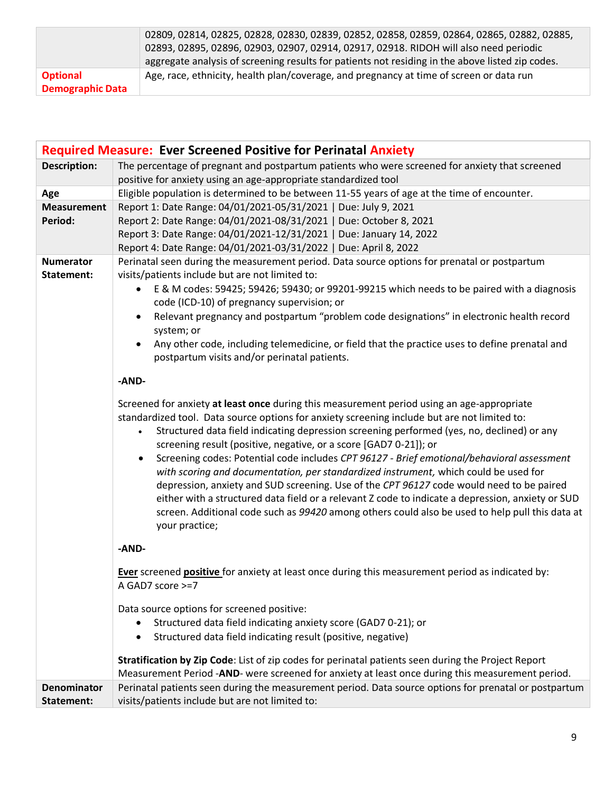|                         | 02809, 02814, 02825, 02828, 02830, 02839, 02852, 02858, 02859, 02864, 02865, 02882, 02885,       |
|-------------------------|--------------------------------------------------------------------------------------------------|
|                         | 02893, 02895, 02896, 02903, 02907, 02914, 02917, 02918. RIDOH will also need periodic            |
|                         | aggregate analysis of screening results for patients not residing in the above listed zip codes. |
| <b>Optional</b>         | Age, race, ethnicity, health plan/coverage, and pregnancy at time of screen or data run          |
| <b>Demographic Data</b> |                                                                                                  |

| <b>Required Measure: Ever Screened Positive for Perinatal Anxiety</b> |                                                                                                                                                                                                                                                                                                                                                                                                                                                                                                                                                                                                                                                                                                                                                                                                                                                                                        |  |
|-----------------------------------------------------------------------|----------------------------------------------------------------------------------------------------------------------------------------------------------------------------------------------------------------------------------------------------------------------------------------------------------------------------------------------------------------------------------------------------------------------------------------------------------------------------------------------------------------------------------------------------------------------------------------------------------------------------------------------------------------------------------------------------------------------------------------------------------------------------------------------------------------------------------------------------------------------------------------|--|
| <b>Description:</b>                                                   | The percentage of pregnant and postpartum patients who were screened for anxiety that screened<br>positive for anxiety using an age-appropriate standardized tool                                                                                                                                                                                                                                                                                                                                                                                                                                                                                                                                                                                                                                                                                                                      |  |
| Age                                                                   | Eligible population is determined to be between 11-55 years of age at the time of encounter.                                                                                                                                                                                                                                                                                                                                                                                                                                                                                                                                                                                                                                                                                                                                                                                           |  |
| <b>Measurement</b><br>Period:                                         | Report 1: Date Range: 04/01/2021-05/31/2021   Due: July 9, 2021<br>Report 2: Date Range: 04/01/2021-08/31/2021   Due: October 8, 2021<br>Report 3: Date Range: 04/01/2021-12/31/2021   Due: January 14, 2022<br>Report 4: Date Range: 04/01/2021-03/31/2022   Due: April 8, 2022                                                                                                                                                                                                                                                                                                                                                                                                                                                                                                                                                                                                       |  |
| <b>Numerator</b>                                                      | Perinatal seen during the measurement period. Data source options for prenatal or postpartum                                                                                                                                                                                                                                                                                                                                                                                                                                                                                                                                                                                                                                                                                                                                                                                           |  |
| Statement:                                                            | visits/patients include but are not limited to:<br>E & M codes: 59425; 59426; 59430; or 99201-99215 which needs to be paired with a diagnosis<br>$\bullet$<br>code (ICD-10) of pregnancy supervision; or<br>Relevant pregnancy and postpartum "problem code designations" in electronic health record<br>system; or<br>Any other code, including telemedicine, or field that the practice uses to define prenatal and<br>$\bullet$<br>postpartum visits and/or perinatal patients.                                                                                                                                                                                                                                                                                                                                                                                                     |  |
|                                                                       | -AND-                                                                                                                                                                                                                                                                                                                                                                                                                                                                                                                                                                                                                                                                                                                                                                                                                                                                                  |  |
|                                                                       | Screened for anxiety at least once during this measurement period using an age-appropriate<br>standardized tool. Data source options for anxiety screening include but are not limited to:<br>Structured data field indicating depression screening performed (yes, no, declined) or any<br>$\bullet$<br>screening result (positive, negative, or a score [GAD7 0-21]); or<br>Screening codes: Potential code includes CPT 96127 - Brief emotional/behavioral assessment<br>with scoring and documentation, per standardized instrument, which could be used for<br>depression, anxiety and SUD screening. Use of the CPT 96127 code would need to be paired<br>either with a structured data field or a relevant Z code to indicate a depression, anxiety or SUD<br>screen. Additional code such as 99420 among others could also be used to help pull this data at<br>your practice; |  |
|                                                                       | -AND-                                                                                                                                                                                                                                                                                                                                                                                                                                                                                                                                                                                                                                                                                                                                                                                                                                                                                  |  |
|                                                                       | Ever screened positive for anxiety at least once during this measurement period as indicated by:<br>A GAD7 score >=7                                                                                                                                                                                                                                                                                                                                                                                                                                                                                                                                                                                                                                                                                                                                                                   |  |
|                                                                       | Data source options for screened positive:<br>Structured data field indicating anxiety score (GAD7 0-21); or<br>Structured data field indicating result (positive, negative)<br>$\bullet$                                                                                                                                                                                                                                                                                                                                                                                                                                                                                                                                                                                                                                                                                              |  |
|                                                                       | Stratification by Zip Code: List of zip codes for perinatal patients seen during the Project Report<br>Measurement Period -AND- were screened for anxiety at least once during this measurement period.                                                                                                                                                                                                                                                                                                                                                                                                                                                                                                                                                                                                                                                                                |  |
| <b>Denominator</b><br>Statement:                                      | Perinatal patients seen during the measurement period. Data source options for prenatal or postpartum<br>visits/patients include but are not limited to:                                                                                                                                                                                                                                                                                                                                                                                                                                                                                                                                                                                                                                                                                                                               |  |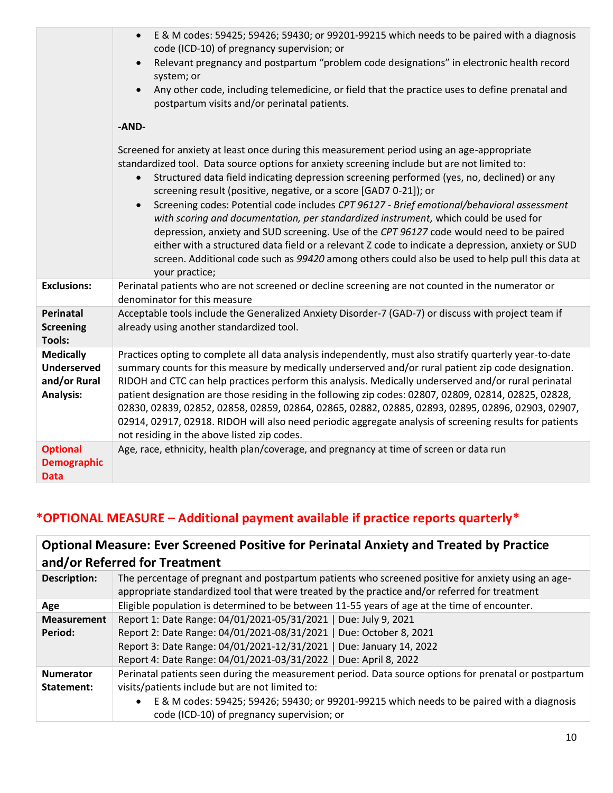|                                                                            | E & M codes: 59425; 59426; 59430; or 99201-99215 which needs to be paired with a diagnosis<br>$\bullet$<br>code (ICD-10) of pregnancy supervision; or<br>Relevant pregnancy and postpartum "problem code designations" in electronic health record<br>system; or<br>Any other code, including telemedicine, or field that the practice uses to define prenatal and<br>$\bullet$<br>postpartum visits and/or perinatal patients.                                                                                                                                                                                                                                                                                                                                                                                                                                                        |
|----------------------------------------------------------------------------|----------------------------------------------------------------------------------------------------------------------------------------------------------------------------------------------------------------------------------------------------------------------------------------------------------------------------------------------------------------------------------------------------------------------------------------------------------------------------------------------------------------------------------------------------------------------------------------------------------------------------------------------------------------------------------------------------------------------------------------------------------------------------------------------------------------------------------------------------------------------------------------|
|                                                                            | -AND-                                                                                                                                                                                                                                                                                                                                                                                                                                                                                                                                                                                                                                                                                                                                                                                                                                                                                  |
|                                                                            | Screened for anxiety at least once during this measurement period using an age-appropriate<br>standardized tool. Data source options for anxiety screening include but are not limited to:<br>Structured data field indicating depression screening performed (yes, no, declined) or any<br>screening result (positive, negative, or a score [GAD7 0-21]); or<br>Screening codes: Potential code includes CPT 96127 - Brief emotional/behavioral assessment<br>$\bullet$<br>with scoring and documentation, per standardized instrument, which could be used for<br>depression, anxiety and SUD screening. Use of the CPT 96127 code would need to be paired<br>either with a structured data field or a relevant Z code to indicate a depression, anxiety or SUD<br>screen. Additional code such as 99420 among others could also be used to help pull this data at<br>your practice; |
| <b>Exclusions:</b>                                                         | Perinatal patients who are not screened or decline screening are not counted in the numerator or<br>denominator for this measure                                                                                                                                                                                                                                                                                                                                                                                                                                                                                                                                                                                                                                                                                                                                                       |
| Perinatal<br><b>Screening</b><br><b>Tools:</b>                             | Acceptable tools include the Generalized Anxiety Disorder-7 (GAD-7) or discuss with project team if<br>already using another standardized tool.                                                                                                                                                                                                                                                                                                                                                                                                                                                                                                                                                                                                                                                                                                                                        |
| <b>Medically</b><br><b>Underserved</b><br>and/or Rural<br><b>Analysis:</b> | Practices opting to complete all data analysis independently, must also stratify quarterly year-to-date<br>summary counts for this measure by medically underserved and/or rural patient zip code designation.<br>RIDOH and CTC can help practices perform this analysis. Medically underserved and/or rural perinatal<br>patient designation are those residing in the following zip codes: 02807, 02809, 02814, 02825, 02828,<br>02830, 02839, 02852, 02858, 02859, 02864, 02865, 02882, 02885, 02893, 02895, 02896, 02903, 02907,<br>02914, 02917, 02918. RIDOH will also need periodic aggregate analysis of screening results for patients<br>not residing in the above listed zip codes.                                                                                                                                                                                         |
| <b>Optional</b><br><b>Demographic</b><br><b>Data</b>                       | Age, race, ethnicity, health plan/coverage, and pregnancy at time of screen or data run                                                                                                                                                                                                                                                                                                                                                                                                                                                                                                                                                                                                                                                                                                                                                                                                |

# **\*OPTIONAL MEASURE – Additional payment available if practice reports quarterly\***

| <b>Optional Measure: Ever Screened Positive for Perinatal Anxiety and Treated by Practice</b> |                                                                                                                                                                                                     |
|-----------------------------------------------------------------------------------------------|-----------------------------------------------------------------------------------------------------------------------------------------------------------------------------------------------------|
| and/or Referred for Treatment                                                                 |                                                                                                                                                                                                     |
| <b>Description:</b>                                                                           | The percentage of pregnant and postpartum patients who screened positive for anxiety using an age-<br>appropriate standardized tool that were treated by the practice and/or referred for treatment |
| Age                                                                                           | Eligible population is determined to be between 11-55 years of age at the time of encounter.                                                                                                        |
| <b>Measurement</b>                                                                            | Report 1: Date Range: 04/01/2021-05/31/2021   Due: July 9, 2021                                                                                                                                     |
| Period:                                                                                       | Report 2: Date Range: 04/01/2021-08/31/2021   Due: October 8, 2021                                                                                                                                  |
|                                                                                               | Report 3: Date Range: 04/01/2021-12/31/2021   Due: January 14, 2022                                                                                                                                 |
|                                                                                               | Report 4: Date Range: 04/01/2021-03/31/2022   Due: April 8, 2022                                                                                                                                    |
| <b>Numerator</b>                                                                              | Perinatal patients seen during the measurement period. Data source options for prenatal or postpartum                                                                                               |
| Statement:                                                                                    | visits/patients include but are not limited to:                                                                                                                                                     |
|                                                                                               | E & M codes: 59425; 59426; 59430; or 99201-99215 which needs to be paired with a diagnosis<br>code (ICD-10) of pregnancy supervision; or                                                            |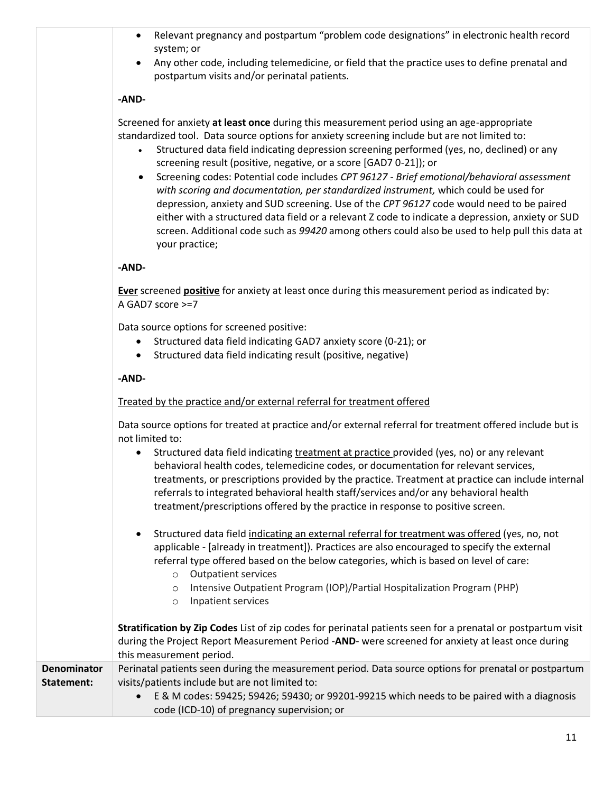- Relevant pregnancy and postpartum "problem code designations" in electronic health record system; or
- Any other code, including telemedicine, or field that the practice uses to define prenatal and postpartum visits and/or perinatal patients.

## **-AND-**

Screened for anxiety **at least once** during this measurement period using an age-appropriate standardized tool. Data source options for anxiety screening include but are not limited to:

- Structured data field indicating depression screening performed (yes, no, declined) or any screening result (positive, negative, or a score [GAD7 0-21]); or
- Screening codes: Potential code includes *CPT 96127 - Brief emotional/behavioral assessment with scoring and documentation, per standardized instrument,* which could be used for depression, anxiety and SUD screening. Use of the *CPT 96127* code would need to be paired either with a structured data field or a relevant Z code to indicate a depression, anxiety or SUD screen. Additional code such as *99420* among others could also be used to help pull this data at your practice;

## **-AND-**

**Ever** screened **positive** for anxiety at least once during this measurement period as indicated by: A GAD7 score >=7

Data source options for screened positive:

- Structured data field indicating GAD7 anxiety score (0-21); or
- Structured data field indicating result (positive, negative)

#### **-AND-**

#### Treated by the practice and/or external referral for treatment offered

Data source options for treated at practice and/or external referral for treatment offered include but is not limited to:

- Structured data field indicating treatment at practice provided (yes, no) or any relevant behavioral health codes, telemedicine codes, or documentation for relevant services, treatments, or prescriptions provided by the practice. Treatment at practice can include internal referrals to integrated behavioral health staff/services and/or any behavioral health treatment/prescriptions offered by the practice in response to positive screen.
- Structured data field indicating an external referral for treatment was offered (yes, no, not applicable - [already in treatment]). Practices are also encouraged to specify the external referral type offered based on the below categories, which is based on level of care:
	- o Outpatient services
	- o Intensive Outpatient Program (IOP)/Partial Hospitalization Program (PHP)
	- o Inpatient services

**Stratification by Zip Codes** List of zip codes for perinatal patients seen for a prenatal or postpartum visit during the Project Report Measurement Period -**AND**- were screened for anxiety at least once during this measurement period. **Denominator Statement:** Perinatal patients seen during the measurement period. Data source options for prenatal or postpartum visits/patients include but are not limited to:

> • E & M codes: 59425; 59426; 59430; or 99201-99215 which needs to be paired with a diagnosis code (ICD-10) of pregnancy supervision; or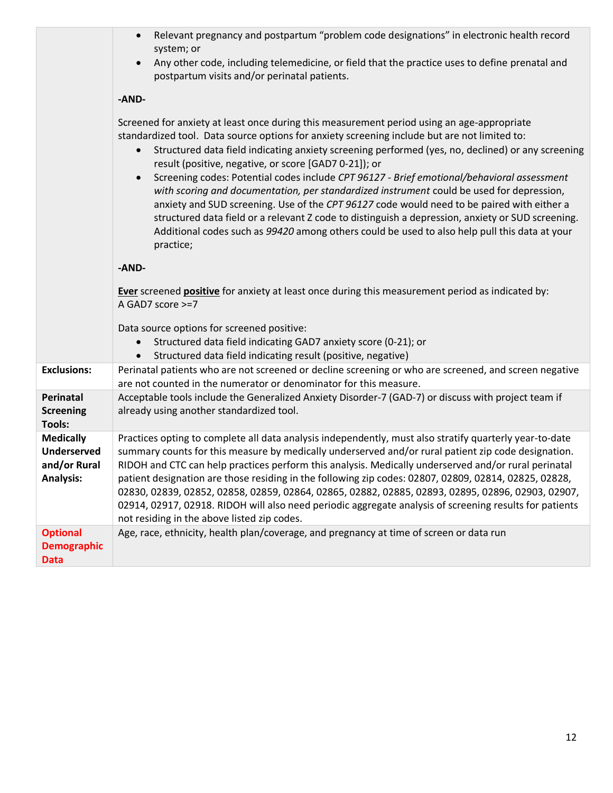|                                                                            | Relevant pregnancy and postpartum "problem code designations" in electronic health record<br>$\bullet$<br>system; or<br>Any other code, including telemedicine, or field that the practice uses to define prenatal and<br>$\bullet$<br>postpartum visits and/or perinatal patients.                                                                                                                                                                                                                                                                                                                                                                                                                                                                                                                                                                                                            |
|----------------------------------------------------------------------------|------------------------------------------------------------------------------------------------------------------------------------------------------------------------------------------------------------------------------------------------------------------------------------------------------------------------------------------------------------------------------------------------------------------------------------------------------------------------------------------------------------------------------------------------------------------------------------------------------------------------------------------------------------------------------------------------------------------------------------------------------------------------------------------------------------------------------------------------------------------------------------------------|
|                                                                            | -AND-                                                                                                                                                                                                                                                                                                                                                                                                                                                                                                                                                                                                                                                                                                                                                                                                                                                                                          |
|                                                                            | Screened for anxiety at least once during this measurement period using an age-appropriate<br>standardized tool. Data source options for anxiety screening include but are not limited to:<br>Structured data field indicating anxiety screening performed (yes, no, declined) or any screening<br>$\bullet$<br>result (positive, negative, or score [GAD7 0-21]); or<br>Screening codes: Potential codes include CPT 96127 - Brief emotional/behavioral assessment<br>$\bullet$<br>with scoring and documentation, per standardized instrument could be used for depression,<br>anxiety and SUD screening. Use of the CPT 96127 code would need to be paired with either a<br>structured data field or a relevant Z code to distinguish a depression, anxiety or SUD screening.<br>Additional codes such as 99420 among others could be used to also help pull this data at your<br>practice; |
|                                                                            | -AND-                                                                                                                                                                                                                                                                                                                                                                                                                                                                                                                                                                                                                                                                                                                                                                                                                                                                                          |
|                                                                            | Ever screened positive for anxiety at least once during this measurement period as indicated by:<br>A GAD7 score >=7                                                                                                                                                                                                                                                                                                                                                                                                                                                                                                                                                                                                                                                                                                                                                                           |
|                                                                            | Data source options for screened positive:<br>Structured data field indicating GAD7 anxiety score (0-21); or<br>$\bullet$<br>Structured data field indicating result (positive, negative)<br>$\bullet$                                                                                                                                                                                                                                                                                                                                                                                                                                                                                                                                                                                                                                                                                         |
| <b>Exclusions:</b>                                                         | Perinatal patients who are not screened or decline screening or who are screened, and screen negative<br>are not counted in the numerator or denominator for this measure.                                                                                                                                                                                                                                                                                                                                                                                                                                                                                                                                                                                                                                                                                                                     |
| Perinatal<br><b>Screening</b><br><b>Tools:</b>                             | Acceptable tools include the Generalized Anxiety Disorder-7 (GAD-7) or discuss with project team if<br>already using another standardized tool.                                                                                                                                                                                                                                                                                                                                                                                                                                                                                                                                                                                                                                                                                                                                                |
| <b>Medically</b><br><b>Underserved</b><br>and/or Rural<br><b>Analysis:</b> | Practices opting to complete all data analysis independently, must also stratify quarterly year-to-date<br>summary counts for this measure by medically underserved and/or rural patient zip code designation.<br>RIDOH and CTC can help practices perform this analysis. Medically underserved and/or rural perinatal<br>patient designation are those residing in the following zip codes: 02807, 02809, 02814, 02825, 02828,<br>02830, 02839, 02852, 02858, 02859, 02864, 02865, 02882, 02885, 02893, 02895, 02896, 02903, 02907,<br>02914, 02917, 02918. RIDOH will also need periodic aggregate analysis of screening results for patients<br>not residing in the above listed zip codes.                                                                                                                                                                                                 |
| <b>Optional</b><br><b>Demographic</b><br><b>Data</b>                       | Age, race, ethnicity, health plan/coverage, and pregnancy at time of screen or data run                                                                                                                                                                                                                                                                                                                                                                                                                                                                                                                                                                                                                                                                                                                                                                                                        |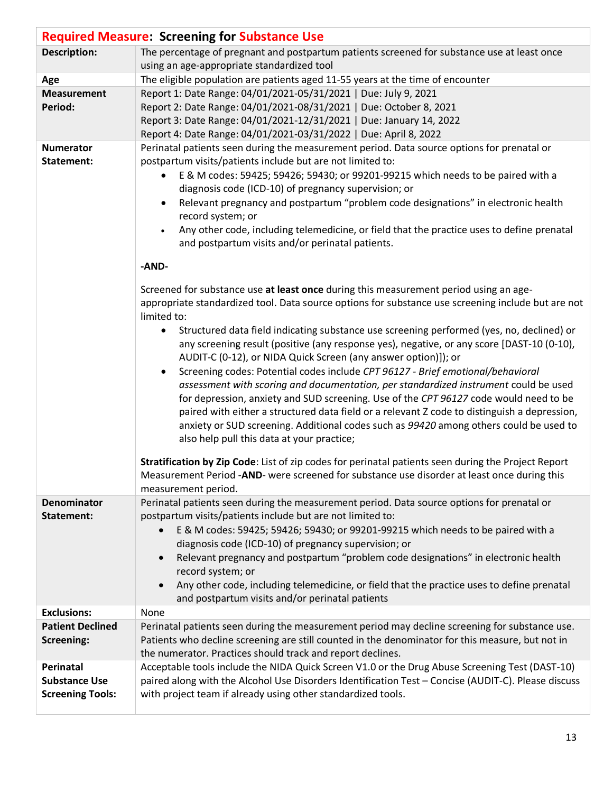|                         | <b>Required Measure: Screening for Substance Use</b>                                                                                                                                               |
|-------------------------|----------------------------------------------------------------------------------------------------------------------------------------------------------------------------------------------------|
| <b>Description:</b>     | The percentage of pregnant and postpartum patients screened for substance use at least once                                                                                                        |
|                         | using an age-appropriate standardized tool                                                                                                                                                         |
| Age                     | The eligible population are patients aged 11-55 years at the time of encounter                                                                                                                     |
| <b>Measurement</b>      | Report 1: Date Range: 04/01/2021-05/31/2021   Due: July 9, 2021                                                                                                                                    |
| Period:                 | Report 2: Date Range: 04/01/2021-08/31/2021   Due: October 8, 2021                                                                                                                                 |
|                         | Report 3: Date Range: 04/01/2021-12/31/2021   Due: January 14, 2022                                                                                                                                |
|                         | Report 4: Date Range: 04/01/2021-03/31/2022   Due: April 8, 2022                                                                                                                                   |
| <b>Numerator</b>        | Perinatal patients seen during the measurement period. Data source options for prenatal or                                                                                                         |
| Statement:              | postpartum visits/patients include but are not limited to:                                                                                                                                         |
|                         | E & M codes: 59425; 59426; 59430; or 99201-99215 which needs to be paired with a                                                                                                                   |
|                         | diagnosis code (ICD-10) of pregnancy supervision; or                                                                                                                                               |
|                         | Relevant pregnancy and postpartum "problem code designations" in electronic health                                                                                                                 |
|                         | record system; or<br>Any other code, including telemedicine, or field that the practice uses to define prenatal                                                                                    |
|                         | and postpartum visits and/or perinatal patients.                                                                                                                                                   |
|                         |                                                                                                                                                                                                    |
|                         | -AND-                                                                                                                                                                                              |
|                         |                                                                                                                                                                                                    |
|                         | Screened for substance use at least once during this measurement period using an age-                                                                                                              |
|                         | appropriate standardized tool. Data source options for substance use screening include but are not<br>limited to:                                                                                  |
|                         | Structured data field indicating substance use screening performed (yes, no, declined) or                                                                                                          |
|                         | any screening result (positive (any response yes), negative, or any score [DAST-10 (0-10),                                                                                                         |
|                         | AUDIT-C (0-12), or NIDA Quick Screen (any answer option)]); or                                                                                                                                     |
|                         | Screening codes: Potential codes include CPT 96127 - Brief emotional/behavioral                                                                                                                    |
|                         | assessment with scoring and documentation, per standardized instrument could be used                                                                                                               |
|                         | for depression, anxiety and SUD screening. Use of the CPT 96127 code would need to be                                                                                                              |
|                         | paired with either a structured data field or a relevant Z code to distinguish a depression,                                                                                                       |
|                         | anxiety or SUD screening. Additional codes such as 99420 among others could be used to                                                                                                             |
|                         | also help pull this data at your practice;                                                                                                                                                         |
|                         |                                                                                                                                                                                                    |
|                         | Stratification by Zip Code: List of zip codes for perinatal patients seen during the Project Report<br>Measurement Period -AND- were screened for substance use disorder at least once during this |
|                         |                                                                                                                                                                                                    |
| <b>Denominator</b>      | measurement period.<br>Perinatal patients seen during the measurement period. Data source options for prenatal or                                                                                  |
| Statement:              | postpartum visits/patients include but are not limited to:                                                                                                                                         |
|                         | E & M codes: 59425; 59426; 59430; or 99201-99215 which needs to be paired with a                                                                                                                   |
|                         | diagnosis code (ICD-10) of pregnancy supervision; or                                                                                                                                               |
|                         | Relevant pregnancy and postpartum "problem code designations" in electronic health                                                                                                                 |
|                         | record system; or                                                                                                                                                                                  |
|                         | Any other code, including telemedicine, or field that the practice uses to define prenatal                                                                                                         |
|                         | and postpartum visits and/or perinatal patients                                                                                                                                                    |
| <b>Exclusions:</b>      | None                                                                                                                                                                                               |
| <b>Patient Declined</b> | Perinatal patients seen during the measurement period may decline screening for substance use.                                                                                                     |
| <b>Screening:</b>       | Patients who decline screening are still counted in the denominator for this measure, but not in                                                                                                   |
|                         | the numerator. Practices should track and report declines.                                                                                                                                         |
| Perinatal               | Acceptable tools include the NIDA Quick Screen V1.0 or the Drug Abuse Screening Test (DAST-10)                                                                                                     |
| <b>Substance Use</b>    | paired along with the Alcohol Use Disorders Identification Test - Concise (AUDIT-C). Please discuss                                                                                                |
| <b>Screening Tools:</b> | with project team if already using other standardized tools.                                                                                                                                       |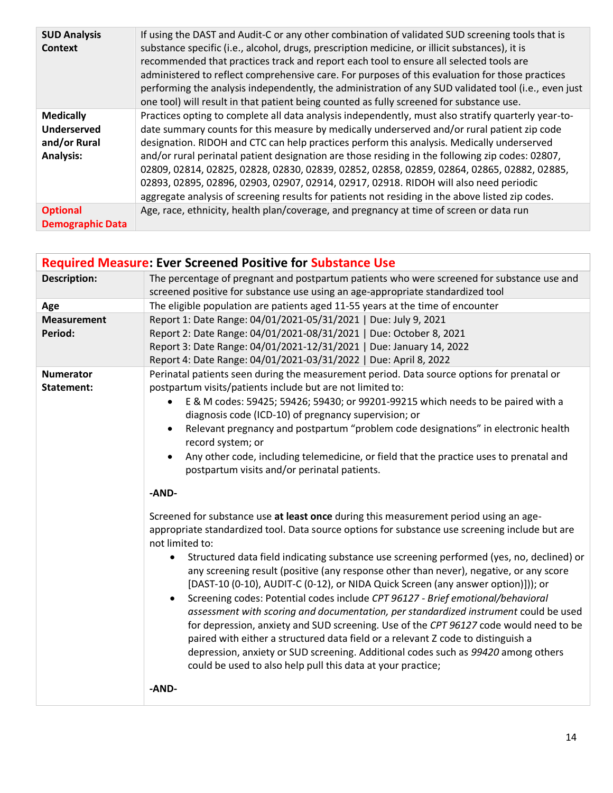| <b>SUD Analysis</b><br><b>Context</b>                                      | If using the DAST and Audit-C or any other combination of validated SUD screening tools that is<br>substance specific (i.e., alcohol, drugs, prescription medicine, or illicit substances), it is<br>recommended that practices track and report each tool to ensure all selected tools are<br>administered to reflect comprehensive care. For purposes of this evaluation for those practices<br>performing the analysis independently, the administration of any SUD validated tool (i.e., even just<br>one tool) will result in that patient being counted as fully screened for substance use.                                                                                              |
|----------------------------------------------------------------------------|-------------------------------------------------------------------------------------------------------------------------------------------------------------------------------------------------------------------------------------------------------------------------------------------------------------------------------------------------------------------------------------------------------------------------------------------------------------------------------------------------------------------------------------------------------------------------------------------------------------------------------------------------------------------------------------------------|
| <b>Medically</b><br><b>Underserved</b><br>and/or Rural<br><b>Analysis:</b> | Practices opting to complete all data analysis independently, must also stratify quarterly year-to-<br>date summary counts for this measure by medically underserved and/or rural patient zip code<br>designation. RIDOH and CTC can help practices perform this analysis. Medically underserved<br>and/or rural perinatal patient designation are those residing in the following zip codes: 02807,<br>02809, 02814, 02825, 02828, 02830, 02839, 02852, 02858, 02859, 02864, 02865, 02882, 02885,<br>02893, 02895, 02896, 02903, 02907, 02914, 02917, 02918. RIDOH will also need periodic<br>aggregate analysis of screening results for patients not residing in the above listed zip codes. |
| <b>Optional</b><br><b>Demographic Data</b>                                 | Age, race, ethnicity, health plan/coverage, and pregnancy at time of screen or data run                                                                                                                                                                                                                                                                                                                                                                                                                                                                                                                                                                                                         |

| <b>Required Measure: Ever Screened Positive for Substance Use</b> |                                                                                                                                                                                                                                                                                                                                                                                                                                                                                                                                                                                                                                                                                                                                                                                                                        |
|-------------------------------------------------------------------|------------------------------------------------------------------------------------------------------------------------------------------------------------------------------------------------------------------------------------------------------------------------------------------------------------------------------------------------------------------------------------------------------------------------------------------------------------------------------------------------------------------------------------------------------------------------------------------------------------------------------------------------------------------------------------------------------------------------------------------------------------------------------------------------------------------------|
| <b>Description:</b>                                               | The percentage of pregnant and postpartum patients who were screened for substance use and                                                                                                                                                                                                                                                                                                                                                                                                                                                                                                                                                                                                                                                                                                                             |
|                                                                   | screened positive for substance use using an age-appropriate standardized tool                                                                                                                                                                                                                                                                                                                                                                                                                                                                                                                                                                                                                                                                                                                                         |
| Age                                                               | The eligible population are patients aged 11-55 years at the time of encounter                                                                                                                                                                                                                                                                                                                                                                                                                                                                                                                                                                                                                                                                                                                                         |
| <b>Measurement</b>                                                | Report 1: Date Range: 04/01/2021-05/31/2021   Due: July 9, 2021                                                                                                                                                                                                                                                                                                                                                                                                                                                                                                                                                                                                                                                                                                                                                        |
| Period:                                                           | Report 2: Date Range: 04/01/2021-08/31/2021   Due: October 8, 2021                                                                                                                                                                                                                                                                                                                                                                                                                                                                                                                                                                                                                                                                                                                                                     |
|                                                                   | Report 3: Date Range: 04/01/2021-12/31/2021   Due: January 14, 2022                                                                                                                                                                                                                                                                                                                                                                                                                                                                                                                                                                                                                                                                                                                                                    |
|                                                                   | Report 4: Date Range: 04/01/2021-03/31/2022   Due: April 8, 2022                                                                                                                                                                                                                                                                                                                                                                                                                                                                                                                                                                                                                                                                                                                                                       |
| <b>Numerator</b>                                                  | Perinatal patients seen during the measurement period. Data source options for prenatal or                                                                                                                                                                                                                                                                                                                                                                                                                                                                                                                                                                                                                                                                                                                             |
| Statement:                                                        | postpartum visits/patients include but are not limited to:                                                                                                                                                                                                                                                                                                                                                                                                                                                                                                                                                                                                                                                                                                                                                             |
|                                                                   | E & M codes: 59425; 59426; 59430; or 99201-99215 which needs to be paired with a<br>$\bullet$                                                                                                                                                                                                                                                                                                                                                                                                                                                                                                                                                                                                                                                                                                                          |
|                                                                   | diagnosis code (ICD-10) of pregnancy supervision; or                                                                                                                                                                                                                                                                                                                                                                                                                                                                                                                                                                                                                                                                                                                                                                   |
|                                                                   | Relevant pregnancy and postpartum "problem code designations" in electronic health<br>record system; or                                                                                                                                                                                                                                                                                                                                                                                                                                                                                                                                                                                                                                                                                                                |
|                                                                   | Any other code, including telemedicine, or field that the practice uses to prenatal and                                                                                                                                                                                                                                                                                                                                                                                                                                                                                                                                                                                                                                                                                                                                |
|                                                                   | postpartum visits and/or perinatal patients.                                                                                                                                                                                                                                                                                                                                                                                                                                                                                                                                                                                                                                                                                                                                                                           |
|                                                                   | -AND-                                                                                                                                                                                                                                                                                                                                                                                                                                                                                                                                                                                                                                                                                                                                                                                                                  |
|                                                                   |                                                                                                                                                                                                                                                                                                                                                                                                                                                                                                                                                                                                                                                                                                                                                                                                                        |
|                                                                   | Screened for substance use at least once during this measurement period using an age-                                                                                                                                                                                                                                                                                                                                                                                                                                                                                                                                                                                                                                                                                                                                  |
|                                                                   | appropriate standardized tool. Data source options for substance use screening include but are                                                                                                                                                                                                                                                                                                                                                                                                                                                                                                                                                                                                                                                                                                                         |
|                                                                   | not limited to:                                                                                                                                                                                                                                                                                                                                                                                                                                                                                                                                                                                                                                                                                                                                                                                                        |
|                                                                   | Structured data field indicating substance use screening performed (yes, no, declined) or<br>$\bullet$<br>any screening result (positive (any response other than never), negative, or any score<br>[DAST-10 (0-10), AUDIT-C (0-12), or NIDA Quick Screen (any answer option)])); or<br>Screening codes: Potential codes include CPT 96127 - Brief emotional/behavioral<br>$\bullet$<br>assessment with scoring and documentation, per standardized instrument could be used<br>for depression, anxiety and SUD screening. Use of the CPT 96127 code would need to be<br>paired with either a structured data field or a relevant Z code to distinguish a<br>depression, anxiety or SUD screening. Additional codes such as 99420 among others<br>could be used to also help pull this data at your practice;<br>-AND- |
|                                                                   |                                                                                                                                                                                                                                                                                                                                                                                                                                                                                                                                                                                                                                                                                                                                                                                                                        |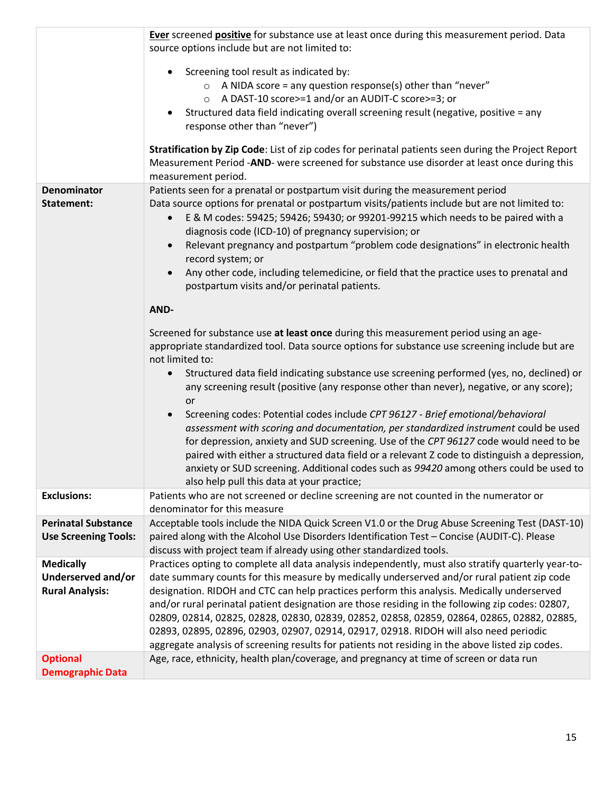|                                                                  | Ever screened positive for substance use at least once during this measurement period. Data<br>source options include but are not limited to:                                                                                                                                                                                                                                                                                                                                                                                                                                                                                                                                                   |
|------------------------------------------------------------------|-------------------------------------------------------------------------------------------------------------------------------------------------------------------------------------------------------------------------------------------------------------------------------------------------------------------------------------------------------------------------------------------------------------------------------------------------------------------------------------------------------------------------------------------------------------------------------------------------------------------------------------------------------------------------------------------------|
|                                                                  | Screening tool result as indicated by:<br>A NIDA score = any question response(s) other than "never"<br>$\circ$<br>A DAST-10 score>=1 and/or an AUDIT-C score>=3; or<br>$\circ$<br>Structured data field indicating overall screening result (negative, positive = any<br>response other than "never")                                                                                                                                                                                                                                                                                                                                                                                          |
|                                                                  | Stratification by Zip Code: List of zip codes for perinatal patients seen during the Project Report<br>Measurement Period -AND- were screened for substance use disorder at least once during this<br>measurement period.                                                                                                                                                                                                                                                                                                                                                                                                                                                                       |
| <b>Denominator</b><br>Statement:                                 | Patients seen for a prenatal or postpartum visit during the measurement period<br>Data source options for prenatal or postpartum visits/patients include but are not limited to:<br>E & M codes: 59425; 59426; 59430; or 99201-99215 which needs to be paired with a<br>$\bullet$<br>diagnosis code (ICD-10) of pregnancy supervision; or<br>Relevant pregnancy and postpartum "problem code designations" in electronic health<br>record system; or<br>Any other code, including telemedicine, or field that the practice uses to prenatal and<br>$\bullet$<br>postpartum visits and/or perinatal patients.                                                                                    |
|                                                                  | AND-                                                                                                                                                                                                                                                                                                                                                                                                                                                                                                                                                                                                                                                                                            |
|                                                                  | Screened for substance use at least once during this measurement period using an age-<br>appropriate standardized tool. Data source options for substance use screening include but are<br>not limited to:<br>Structured data field indicating substance use screening performed (yes, no, declined) or                                                                                                                                                                                                                                                                                                                                                                                         |
|                                                                  | any screening result (positive (any response other than never), negative, or any score);<br>or<br>Screening codes: Potential codes include CPT 96127 - Brief emotional/behavioral<br>assessment with scoring and documentation, per standardized instrument could be used<br>for depression, anxiety and SUD screening. Use of the CPT 96127 code would need to be<br>paired with either a structured data field or a relevant Z code to distinguish a depression,<br>anxiety or SUD screening. Additional codes such as 99420 among others could be used to<br>also help pull this data at your practice;                                                                                      |
| <b>Exclusions:</b>                                               | Patients who are not screened or decline screening are not counted in the numerator or<br>denominator for this measure                                                                                                                                                                                                                                                                                                                                                                                                                                                                                                                                                                          |
| <b>Perinatal Substance</b><br><b>Use Screening Tools:</b>        | Acceptable tools include the NIDA Quick Screen V1.0 or the Drug Abuse Screening Test (DAST-10)<br>paired along with the Alcohol Use Disorders Identification Test - Concise (AUDIT-C). Please<br>discuss with project team if already using other standardized tools.                                                                                                                                                                                                                                                                                                                                                                                                                           |
| <b>Medically</b><br>Underserved and/or<br><b>Rural Analysis:</b> | Practices opting to complete all data analysis independently, must also stratify quarterly year-to-<br>date summary counts for this measure by medically underserved and/or rural patient zip code<br>designation. RIDOH and CTC can help practices perform this analysis. Medically underserved<br>and/or rural perinatal patient designation are those residing in the following zip codes: 02807,<br>02809, 02814, 02825, 02828, 02830, 02839, 02852, 02858, 02859, 02864, 02865, 02882, 02885,<br>02893, 02895, 02896, 02903, 02907, 02914, 02917, 02918. RIDOH will also need periodic<br>aggregate analysis of screening results for patients not residing in the above listed zip codes. |
| <b>Optional</b><br><b>Demographic Data</b>                       | Age, race, ethnicity, health plan/coverage, and pregnancy at time of screen or data run                                                                                                                                                                                                                                                                                                                                                                                                                                                                                                                                                                                                         |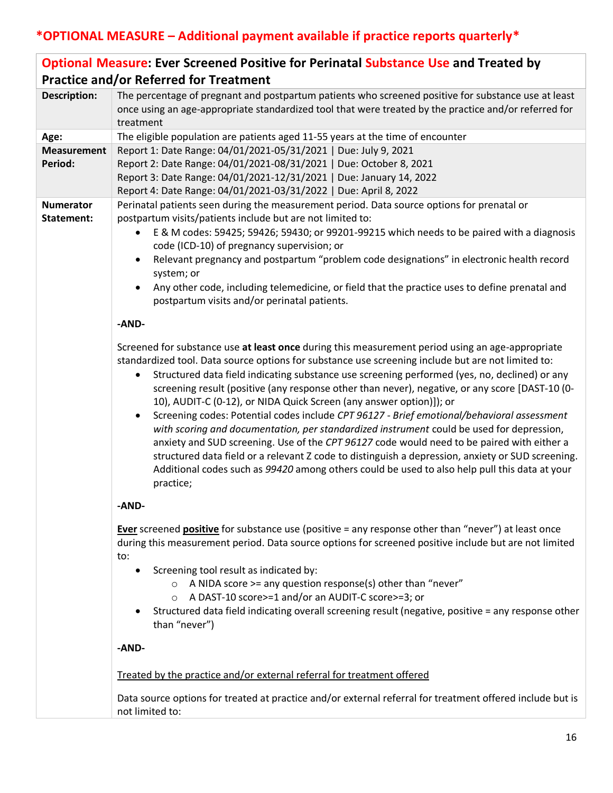|                     | <b>Optional Measure: Ever Screened Positive for Perinatal Substance Use and Treated by</b>                                                                                                                                                                                                                                                                                                                                                                                                                                                                                                                                                                                                                                                                                                                                                                                                                                                                                                                              |
|---------------------|-------------------------------------------------------------------------------------------------------------------------------------------------------------------------------------------------------------------------------------------------------------------------------------------------------------------------------------------------------------------------------------------------------------------------------------------------------------------------------------------------------------------------------------------------------------------------------------------------------------------------------------------------------------------------------------------------------------------------------------------------------------------------------------------------------------------------------------------------------------------------------------------------------------------------------------------------------------------------------------------------------------------------|
|                     | <b>Practice and/or Referred for Treatment</b>                                                                                                                                                                                                                                                                                                                                                                                                                                                                                                                                                                                                                                                                                                                                                                                                                                                                                                                                                                           |
| <b>Description:</b> | The percentage of pregnant and postpartum patients who screened positive for substance use at least<br>once using an age-appropriate standardized tool that were treated by the practice and/or referred for<br>treatment                                                                                                                                                                                                                                                                                                                                                                                                                                                                                                                                                                                                                                                                                                                                                                                               |
| Age:                | The eligible population are patients aged 11-55 years at the time of encounter                                                                                                                                                                                                                                                                                                                                                                                                                                                                                                                                                                                                                                                                                                                                                                                                                                                                                                                                          |
| <b>Measurement</b>  | Report 1: Date Range: 04/01/2021-05/31/2021   Due: July 9, 2021                                                                                                                                                                                                                                                                                                                                                                                                                                                                                                                                                                                                                                                                                                                                                                                                                                                                                                                                                         |
| Period:             | Report 2: Date Range: 04/01/2021-08/31/2021   Due: October 8, 2021                                                                                                                                                                                                                                                                                                                                                                                                                                                                                                                                                                                                                                                                                                                                                                                                                                                                                                                                                      |
|                     | Report 3: Date Range: 04/01/2021-12/31/2021   Due: January 14, 2022                                                                                                                                                                                                                                                                                                                                                                                                                                                                                                                                                                                                                                                                                                                                                                                                                                                                                                                                                     |
|                     | Report 4: Date Range: 04/01/2021-03/31/2022   Due: April 8, 2022                                                                                                                                                                                                                                                                                                                                                                                                                                                                                                                                                                                                                                                                                                                                                                                                                                                                                                                                                        |
| <b>Numerator</b>    | Perinatal patients seen during the measurement period. Data source options for prenatal or                                                                                                                                                                                                                                                                                                                                                                                                                                                                                                                                                                                                                                                                                                                                                                                                                                                                                                                              |
| Statement:          | postpartum visits/patients include but are not limited to:                                                                                                                                                                                                                                                                                                                                                                                                                                                                                                                                                                                                                                                                                                                                                                                                                                                                                                                                                              |
|                     | E & M codes: 59425; 59426; 59430; or 99201-99215 which needs to be paired with a diagnosis<br>code (ICD-10) of pregnancy supervision; or                                                                                                                                                                                                                                                                                                                                                                                                                                                                                                                                                                                                                                                                                                                                                                                                                                                                                |
|                     | Relevant pregnancy and postpartum "problem code designations" in electronic health record<br>$\bullet$<br>system; or                                                                                                                                                                                                                                                                                                                                                                                                                                                                                                                                                                                                                                                                                                                                                                                                                                                                                                    |
|                     | Any other code, including telemedicine, or field that the practice uses to define prenatal and<br>postpartum visits and/or perinatal patients.                                                                                                                                                                                                                                                                                                                                                                                                                                                                                                                                                                                                                                                                                                                                                                                                                                                                          |
|                     | -AND-                                                                                                                                                                                                                                                                                                                                                                                                                                                                                                                                                                                                                                                                                                                                                                                                                                                                                                                                                                                                                   |
|                     | Screened for substance use at least once during this measurement period using an age-appropriate<br>standardized tool. Data source options for substance use screening include but are not limited to:<br>Structured data field indicating substance use screening performed (yes, no, declined) or any<br>$\bullet$<br>screening result (positive (any response other than never), negative, or any score [DAST-10 (0-<br>10), AUDIT-C (0-12), or NIDA Quick Screen (any answer option)]); or<br>Screening codes: Potential codes include CPT 96127 - Brief emotional/behavioral assessment<br>$\bullet$<br>with scoring and documentation, per standardized instrument could be used for depression,<br>anxiety and SUD screening. Use of the CPT 96127 code would need to be paired with either a<br>structured data field or a relevant Z code to distinguish a depression, anxiety or SUD screening.<br>Additional codes such as 99420 among others could be used to also help pull this data at your<br>practice; |
|                     | -AND-                                                                                                                                                                                                                                                                                                                                                                                                                                                                                                                                                                                                                                                                                                                                                                                                                                                                                                                                                                                                                   |
|                     | <b>Ever</b> screened <b>positive</b> for substance use (positive = any response other than "never") at least once<br>during this measurement period. Data source options for screened positive include but are not limited<br>to:<br>Screening tool result as indicated by:<br>A NIDA score >= any question response(s) other than "never"<br>A DAST-10 score>=1 and/or an AUDIT-C score>=3; or<br>$\circ$<br>Structured data field indicating overall screening result (negative, positive = any response other<br>٠<br>than "never")                                                                                                                                                                                                                                                                                                                                                                                                                                                                                  |
|                     | -AND-                                                                                                                                                                                                                                                                                                                                                                                                                                                                                                                                                                                                                                                                                                                                                                                                                                                                                                                                                                                                                   |
|                     | Treated by the practice and/or external referral for treatment offered                                                                                                                                                                                                                                                                                                                                                                                                                                                                                                                                                                                                                                                                                                                                                                                                                                                                                                                                                  |
|                     | Data source options for treated at practice and/or external referral for treatment offered include but is<br>not limited to:                                                                                                                                                                                                                                                                                                                                                                                                                                                                                                                                                                                                                                                                                                                                                                                                                                                                                            |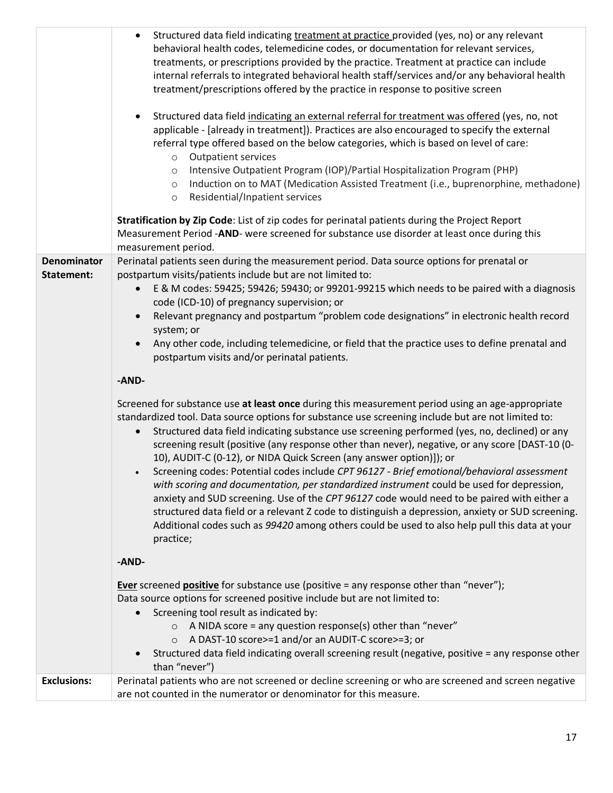|                                  | Structured data field indicating treatment at practice provided (yes, no) or any relevant<br>behavioral health codes, telemedicine codes, or documentation for relevant services,<br>treatments, or prescriptions provided by the practice. Treatment at practice can include<br>internal referrals to integrated behavioral health staff/services and/or any behavioral health<br>treatment/prescriptions offered by the practice in response to positive screen<br>Structured data field indicating an external referral for treatment was offered (yes, no, not<br>applicable - [already in treatment]). Practices are also encouraged to specify the external<br>referral type offered based on the below categories, which is based on level of care:<br><b>Outpatient services</b><br>$\circ$<br>Intensive Outpatient Program (IOP)/Partial Hospitalization Program (PHP)<br>$\circ$<br>Induction on to MAT (Medication Assisted Treatment (i.e., buprenorphine, methadone)<br>$\circ$<br>Residential/Inpatient services<br>$\circ$<br>Stratification by Zip Code: List of zip codes for perinatal patients during the Project Report |
|----------------------------------|---------------------------------------------------------------------------------------------------------------------------------------------------------------------------------------------------------------------------------------------------------------------------------------------------------------------------------------------------------------------------------------------------------------------------------------------------------------------------------------------------------------------------------------------------------------------------------------------------------------------------------------------------------------------------------------------------------------------------------------------------------------------------------------------------------------------------------------------------------------------------------------------------------------------------------------------------------------------------------------------------------------------------------------------------------------------------------------------------------------------------------------------|
|                                  | Measurement Period -AND- were screened for substance use disorder at least once during this<br>measurement period.                                                                                                                                                                                                                                                                                                                                                                                                                                                                                                                                                                                                                                                                                                                                                                                                                                                                                                                                                                                                                          |
| <b>Denominator</b><br>Statement: | Perinatal patients seen during the measurement period. Data source options for prenatal or<br>postpartum visits/patients include but are not limited to:<br>E & M codes: 59425; 59426; 59430; or 99201-99215 which needs to be paired with a diagnosis<br>$\bullet$<br>code (ICD-10) of pregnancy supervision; or<br>Relevant pregnancy and postpartum "problem code designations" in electronic health record<br>system; or<br>Any other code, including telemedicine, or field that the practice uses to define prenatal and<br>postpartum visits and/or perinatal patients.                                                                                                                                                                                                                                                                                                                                                                                                                                                                                                                                                              |
|                                  | -AND-                                                                                                                                                                                                                                                                                                                                                                                                                                                                                                                                                                                                                                                                                                                                                                                                                                                                                                                                                                                                                                                                                                                                       |
|                                  | Screened for substance use at least once during this measurement period using an age-appropriate<br>standardized tool. Data source options for substance use screening include but are not limited to:<br>Structured data field indicating substance use screening performed (yes, no, declined) or any<br>screening result (positive (any response other than never), negative, or any score [DAST-10 (0-<br>10), AUDIT-C (0-12), or NIDA Quick Screen (any answer option)]); or<br>Screening codes: Potential codes include CPT 96127 - Brief emotional/behavioral assessment<br>with scoring and documentation, per standardized instrument could be used for depression,<br>anxiety and SUD screening. Use of the CPT 96127 code would need to be paired with either a<br>structured data field or a relevant Z code to distinguish a depression, anxiety or SUD screening.<br>Additional codes such as 99420 among others could be used to also help pull this data at your<br>practice;                                                                                                                                               |
|                                  | -AND-                                                                                                                                                                                                                                                                                                                                                                                                                                                                                                                                                                                                                                                                                                                                                                                                                                                                                                                                                                                                                                                                                                                                       |
|                                  | <b>Ever</b> screened <b>positive</b> for substance use (positive = any response other than "never");<br>Data source options for screened positive include but are not limited to:<br>Screening tool result as indicated by:<br>$\bullet$<br>$\circ$ A NIDA score = any question response(s) other than "never"<br>○ A DAST-10 score>=1 and/or an AUDIT-C score>=3; or<br>Structured data field indicating overall screening result (negative, positive = any response other<br>than "never")                                                                                                                                                                                                                                                                                                                                                                                                                                                                                                                                                                                                                                                |
| <b>Exclusions:</b>               | Perinatal patients who are not screened or decline screening or who are screened and screen negative<br>are not counted in the numerator or denominator for this measure.                                                                                                                                                                                                                                                                                                                                                                                                                                                                                                                                                                                                                                                                                                                                                                                                                                                                                                                                                                   |